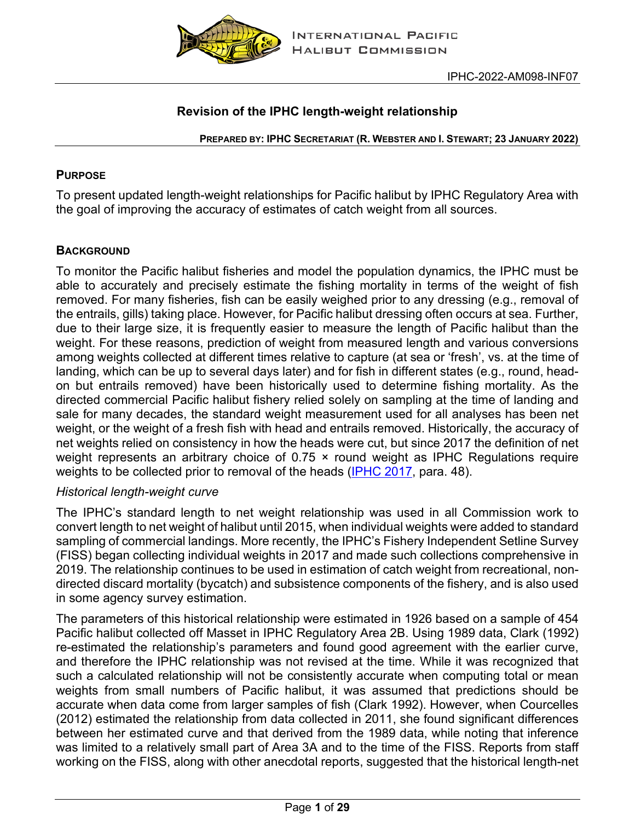

## **Revision of the IPHC length-weight relationship**

**PREPARED BY: IPHC SECRETARIAT (R. WEBSTER AND I. STEWART; 23 JANUARY 2022)**

### **PURPOSE**

To present updated length-weight relationships for Pacific halibut by IPHC Regulatory Area with the goal of improving the accuracy of estimates of catch weight from all sources.

## **BACKGROUND**

To monitor the Pacific halibut fisheries and model the population dynamics, the IPHC must be able to accurately and precisely estimate the fishing mortality in terms of the weight of fish removed. For many fisheries, fish can be easily weighed prior to any dressing (e.g., removal of the entrails, gills) taking place. However, for Pacific halibut dressing often occurs at sea. Further, due to their large size, it is frequently easier to measure the length of Pacific halibut than the weight. For these reasons, prediction of weight from measured length and various conversions among weights collected at different times relative to capture (at sea or 'fresh', vs. at the time of landing, which can be up to several days later) and for fish in different states (e.g., round, headon but entrails removed) have been historically used to determine fishing mortality. As the directed commercial Pacific halibut fishery relied solely on sampling at the time of landing and sale for many decades, the standard weight measurement used for all analyses has been net weight, or the weight of a fresh fish with head and entrails removed. Historically, the accuracy of net weights relied on consistency in how the heads were cut, but since 2017 the definition of net weight represents an arbitrary choice of 0.75 x round weight as IPHC Regulations require weights to be collected prior to removal of the heads [\(IPHC 2017,](https://www.iphc.int/uploads/pdf/am/2017am/iphc-2017-am093-r.pdf) para. 48).

### *Historical length-weight curve*

The IPHC's standard length to net weight relationship was used in all Commission work to convert length to net weight of halibut until 2015, when individual weights were added to standard sampling of commercial landings. More recently, the IPHC's Fishery Independent Setline Survey (FISS) began collecting individual weights in 2017 and made such collections comprehensive in 2019. The relationship continues to be used in estimation of catch weight from recreational, nondirected discard mortality (bycatch) and subsistence components of the fishery, and is also used in some agency survey estimation.

The parameters of this historical relationship were estimated in 1926 based on a sample of 454 Pacific halibut collected off Masset in IPHC Regulatory Area 2B. Using 1989 data, Clark (1992) re-estimated the relationship's parameters and found good agreement with the earlier curve, and therefore the IPHC relationship was not revised at the time. While it was recognized that such a calculated relationship will not be consistently accurate when computing total or mean weights from small numbers of Pacific halibut, it was assumed that predictions should be accurate when data come from larger samples of fish (Clark 1992). However, when Courcelles (2012) estimated the relationship from data collected in 2011, she found significant differences between her estimated curve and that derived from the 1989 data, while noting that inference was limited to a relatively small part of Area 3A and to the time of the FISS. Reports from staff working on the FISS, along with other anecdotal reports, suggested that the historical length-net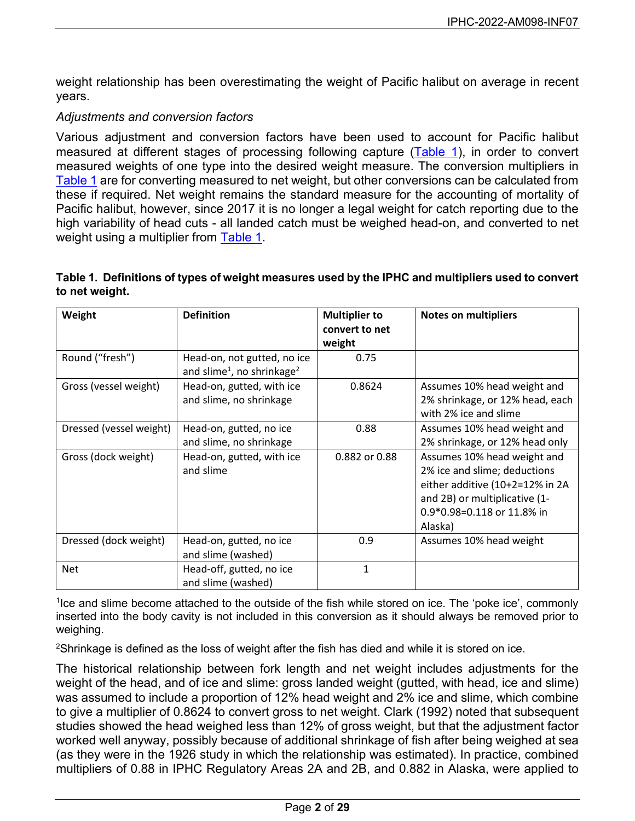weight relationship has been overestimating the weight of Pacific halibut on average in recent years.

### *Adjustments and conversion factors*

Various adjustment and conversion factors have been used to account for Pacific halibut measured at different stages of processing following capture [\(Table 1\)](#page-1-0), in order to convert measured weights of one type into the desired weight measure. The conversion multipliers in [Table 1](#page-1-0) are for converting measured to net weight, but other conversions can be calculated from these if required. Net weight remains the standard measure for the accounting of mortality of Pacific halibut, however, since 2017 it is no longer a legal weight for catch reporting due to the high variability of head cuts - all landed catch must be weighed head-on, and converted to net weight using a multiplier from [Table 1.](#page-1-0)

#### <span id="page-1-0"></span>**Table 1. Definitions of types of weight measures used by the IPHC and multipliers used to convert to net weight.**

| Weight                  | <b>Definition</b>                                                                 | <b>Multiplier to</b><br>convert to net | <b>Notes on multipliers</b>                                                                                                                                              |
|-------------------------|-----------------------------------------------------------------------------------|----------------------------------------|--------------------------------------------------------------------------------------------------------------------------------------------------------------------------|
|                         |                                                                                   | weight                                 |                                                                                                                                                                          |
| Round ("fresh")         | Head-on, not gutted, no ice<br>and slime <sup>1</sup> , no shrinkage <sup>2</sup> | 0.75                                   |                                                                                                                                                                          |
| Gross (vessel weight)   | Head-on, gutted, with ice<br>and slime, no shrinkage                              | 0.8624                                 | Assumes 10% head weight and<br>2% shrinkage, or 12% head, each<br>with 2% ice and slime                                                                                  |
| Dressed (vessel weight) | Head-on, gutted, no ice<br>and slime, no shrinkage                                | 0.88                                   | Assumes 10% head weight and<br>2% shrinkage, or 12% head only                                                                                                            |
| Gross (dock weight)     | Head-on, gutted, with ice<br>and slime                                            | 0.882 or 0.88                          | Assumes 10% head weight and<br>2% ice and slime; deductions<br>either additive (10+2=12% in 2A<br>and 2B) or multiplicative (1-<br>0.9*0.98=0.118 or 11.8% in<br>Alaska) |
| Dressed (dock weight)   | Head-on, gutted, no ice<br>and slime (washed)                                     | 0.9                                    | Assumes 10% head weight                                                                                                                                                  |
| <b>Net</b>              | Head-off, gutted, no ice<br>and slime (washed)                                    | $\mathbf{1}$                           |                                                                                                                                                                          |

<sup>1</sup>lce and slime become attached to the outside of the fish while stored on ice. The 'poke ice', commonly inserted into the body cavity is not included in this conversion as it should always be removed prior to weighing.

 $^{2}$ Shrinkage is defined as the loss of weight after the fish has died and while it is stored on ice.

The historical relationship between fork length and net weight includes adjustments for the weight of the head, and of ice and slime: gross landed weight (gutted, with head, ice and slime) was assumed to include a proportion of 12% head weight and 2% ice and slime, which combine to give a multiplier of 0.8624 to convert gross to net weight. Clark (1992) noted that subsequent studies showed the head weighed less than 12% of gross weight, but that the adjustment factor worked well anyway, possibly because of additional shrinkage of fish after being weighed at sea (as they were in the 1926 study in which the relationship was estimated). In practice, combined multipliers of 0.88 in IPHC Regulatory Areas 2A and 2B, and 0.882 in Alaska, were applied to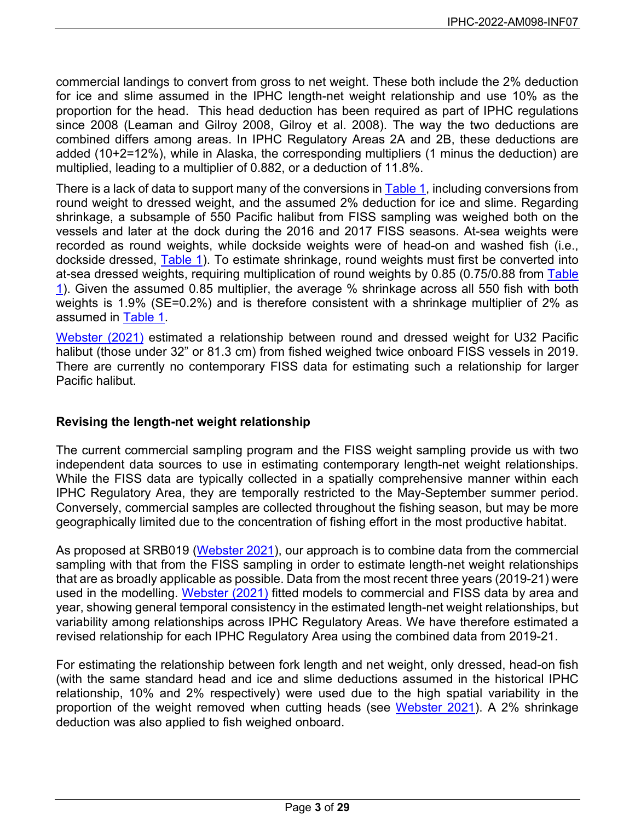commercial landings to convert from gross to net weight. These both include the 2% deduction for ice and slime assumed in the IPHC length-net weight relationship and use 10% as the proportion for the head. This head deduction has been required as part of IPHC regulations since 2008 (Leaman and Gilroy 2008, Gilroy et al. 2008). The way the two deductions are combined differs among areas. In IPHC Regulatory Areas 2A and 2B, these deductions are added (10+2=12%), while in Alaska, the corresponding multipliers (1 minus the deduction) are multiplied, leading to a multiplier of 0.882, or a deduction of 11.8%.

There is a lack of data to support many of the conversions in [Table 1,](#page-1-0) including conversions from round weight to dressed weight, and the assumed 2% deduction for ice and slime. Regarding shrinkage, a subsample of 550 Pacific halibut from FISS sampling was weighed both on the vessels and later at the dock during the 2016 and 2017 FISS seasons. At-sea weights were recorded as round weights, while dockside weights were of head-on and washed fish (i.e., dockside dressed, Table 1). To estimate shrinkage, round weights must first be converted into at-sea dressed weights, requiring multiplication of round weights by 0.85 (0.75/0.88 from Table 1). Given the assumed 0.85 multiplier, the average % shrinkage across all 550 fish with both weights is 1.9% (SE=0.2%) and is therefore consistent with a shrinkage multiplier of 2% as assumed in Table 1.

[Webster \(2021\)](https://www.iphc.int/uploads/pdf/srb/srb019/iphc-2021-srb019-05.pdf) estimated a relationship between round and dressed weight for U32 Pacific halibut (those under 32" or 81.3 cm) from fished weighed twice onboard FISS vessels in 2019. There are currently no contemporary FISS data for estimating such a relationship for larger Pacific halibut.

### **Revising the length-net weight relationship**

The current commercial sampling program and the FISS weight sampling provide us with two independent data sources to use in estimating contemporary length-net weight relationships. While the FISS data are typically collected in a spatially comprehensive manner within each IPHC Regulatory Area, they are temporally restricted to the May-September summer period. Conversely, commercial samples are collected throughout the fishing season, but may be more geographically limited due to the concentration of fishing effort in the most productive habitat.

As proposed at SRB019 [\(Webster 2021\)](https://www.iphc.int/uploads/pdf/srb/srb019/iphc-2021-srb019-05.pdf), our approach is to combine data from the commercial sampling with that from the FISS sampling in order to estimate length-net weight relationships that are as broadly applicable as possible. Data from the most recent three years (2019-21) were used in the modelling. [Webster \(2021\)](https://www.iphc.int/uploads/pdf/srb/srb019/iphc-2021-srb019-05.pdf) fitted models to commercial and FISS data by area and year, showing general temporal consistency in the estimated length-net weight relationships, but variability among relationships across IPHC Regulatory Areas. We have therefore estimated a revised relationship for each IPHC Regulatory Area using the combined data from 2019-21.

For estimating the relationship between fork length and net weight, only dressed, head-on fish (with the same standard head and ice and slime deductions assumed in the historical IPHC relationship, 10% and 2% respectively) were used due to the high spatial variability in the proportion of the weight removed when cutting heads (see [Webster 2021\)](https://www.iphc.int/uploads/pdf/srb/srb019/iphc-2021-srb019-05.pdf). A 2% shrinkage deduction was also applied to fish weighed onboard.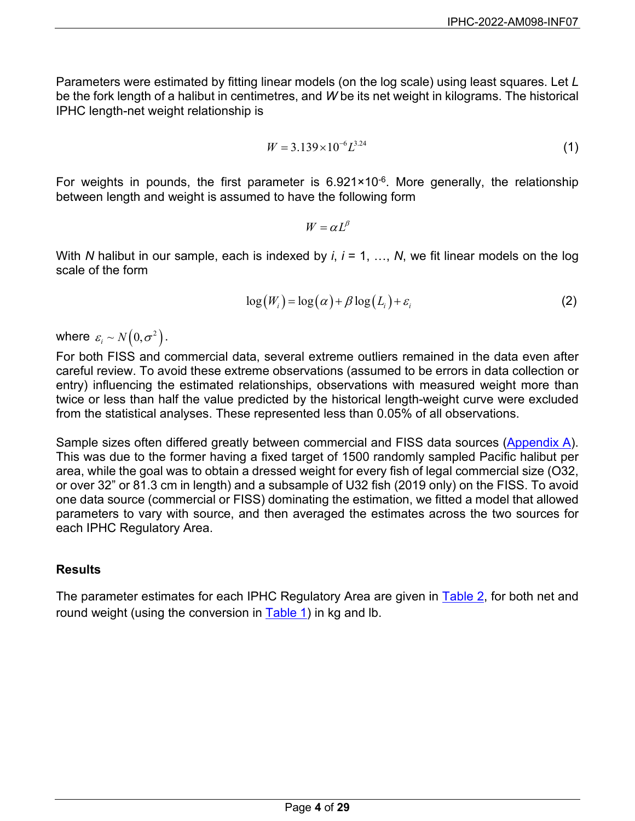Parameters were estimated by fitting linear models (on the log scale) using least squares. Let *L* be the fork length of a halibut in centimetres, and *W* be its net weight in kilograms. The historical IPHC length-net weight relationship is

$$
W = 3.139 \times 10^{-6} L^{3.24}
$$
 (1)

For weights in pounds, the first parameter is  $6.921 \times 10^{-6}$ . More generally, the relationship between length and weight is assumed to have the following form

 $W = \alpha L^{\beta}$ 

With *N* halibut in our sample, each is indexed by *i*, *i* = 1, …, *N*, we fit linear models on the log scale of the form

$$
\log(W_i) = \log(\alpha) + \beta \log(L_i) + \varepsilon_i \tag{2}
$$

where  $\varepsilon_i \sim N(0, \sigma^2)$ .

For both FISS and commercial data, several extreme outliers remained in the data even after careful review. To avoid these extreme observations (assumed to be errors in data collection or entry) influencing the estimated relationships, observations with measured weight more than twice or less than half the value predicted by the historical length-weight curve were excluded from the statistical analyses. These represented less than 0.05% of all observations.

Sample sizes often differed greatly between commercial and FISS data sources [\(Appendix A\)](#page-10-0). This was due to the former having a fixed target of 1500 randomly sampled Pacific halibut per area, while the goal was to obtain a dressed weight for every fish of legal commercial size (O32, or over 32" or 81.3 cm in length) and a subsample of U32 fish (2019 only) on the FISS. To avoid one data source (commercial or FISS) dominating the estimation, we fitted a model that allowed parameters to vary with source, and then averaged the estimates across the two sources for each IPHC Regulatory Area.

### **Results**

The parameter estimates for each IPHC Regulatory Area are given in [Table 2,](#page-4-0) for both net and round weight (using the conversion in Table 1) in kg and lb.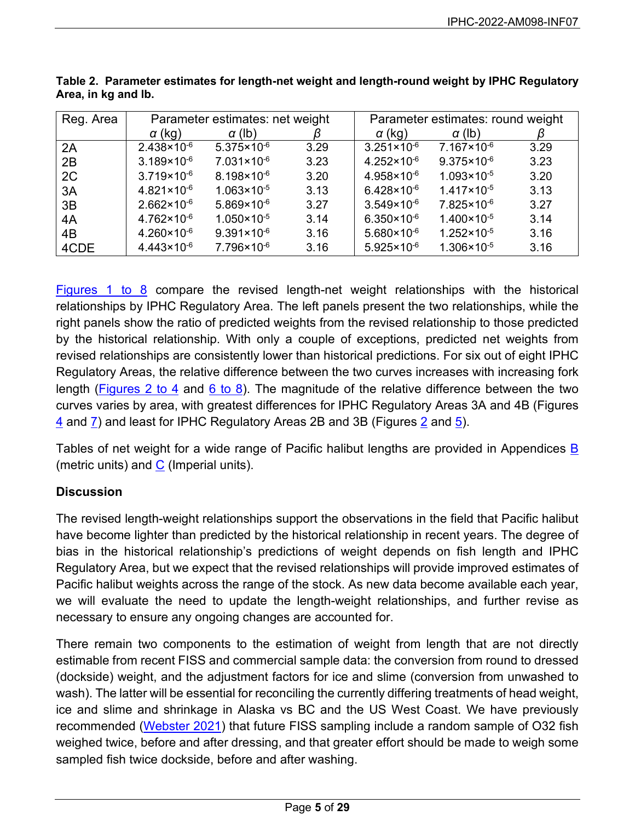| Reg. Area |                        | Parameter estimates: net weight |      | Parameter estimates: round weight |                        |      |  |
|-----------|------------------------|---------------------------------|------|-----------------------------------|------------------------|------|--|
|           | $\alpha$ (kg)          | $\alpha$ (lb)                   |      | $\alpha$ (kg)                     | $\alpha$ (lb)          |      |  |
| 2A        | $2.438 \times 10^{-6}$ | $5.375 \times 10^{-6}$          | 3.29 | $3.251 \times 10^{-6}$            | $7.167 \times 10^{-6}$ | 3.29 |  |
| 2B        | $3.189 \times 10^{-6}$ | $7.031 \times 10^{-6}$          | 3.23 | $4.252 \times 10^{-6}$            | $9.375 \times 10^{-6}$ | 3.23 |  |
| 2C        | $3.719 \times 10^{-6}$ | $8.198 \times 10^{-6}$          | 3.20 | $4.958 \times 10^{-6}$            | $1.093 \times 10^{-5}$ | 3.20 |  |
| 3A        | $4.821 \times 10^{-6}$ | $1.063 \times 10^{-5}$          | 3.13 | $6.428 \times 10^{-6}$            | $1.417 \times 10^{-5}$ | 3.13 |  |
| 3B        | $2.662 \times 10^{-6}$ | $5.869 \times 10^{-6}$          | 3.27 | $3.549 \times 10^{-6}$            | $7.825 \times 10^{-6}$ | 3.27 |  |
| 4A        | $4.762 \times 10^{-6}$ | $1.050 \times 10^{-5}$          | 3.14 | $6.350 \times 10^{-6}$            | $1.400 \times 10^{-5}$ | 3.14 |  |
| 4B        | $4.260 \times 10^{-6}$ | $9.391 \times 10^{-6}$          | 3.16 | $5.680 \times 10^{-6}$            | $1.252 \times 10^{-5}$ | 3.16 |  |
| 4CDE      | $4.443 \times 10^{-6}$ | $7.796 \times 10^{-6}$          | 3.16 | $5.925 \times 10^{-6}$            | $1.306 \times 10^{-5}$ | 3.16 |  |

<span id="page-4-0"></span>**Table 2. Parameter estimates for length-net weight and length-round weight by IPHC Regulatory Area, in kg and lb.**

[Figures](#page-6-0) 1 to 8 compare the revised length-net weight relationships with the historical relationships by IPHC Regulatory Area. The left panels present the two relationships, while the right panels show the ratio of predicted weights from the revised relationship to those predicted by the historical relationship. With only a couple of exceptions, predicted net weights from revised relationships are consistently lower than historical predictions. For six out of eight IPHC Regulatory Areas, the relative difference between the two curves increases with increasing fork length [\(Figures 2 to 4](#page-6-1) and [6 to 8\)](#page-8-0). The magnitude of the relative difference between the two curves varies by area, with greatest differences for IPHC Regulatory Areas 3A and 4B (Figures  $\frac{4}{3}$  $\frac{4}{3}$  $\frac{4}{3}$  and  $\frac{7}{2}$  and least for IPHC Regulatory Areas [2](#page-6-1)B and 3B (Figures 2 and  $\frac{5}{2}$ ).

Tables of net weight for a wide range of Pacific halibut lengths are provided in Appendices [B](#page-11-0) (metric units) and  $C$  (Imperial units).

## **Discussion**

The revised length-weight relationships support the observations in the field that Pacific halibut have become lighter than predicted by the historical relationship in recent years. The degree of bias in the historical relationship's predictions of weight depends on fish length and IPHC Regulatory Area, but we expect that the revised relationships will provide improved estimates of Pacific halibut weights across the range of the stock. As new data become available each year, we will evaluate the need to update the length-weight relationships, and further revise as necessary to ensure any ongoing changes are accounted for.

There remain two components to the estimation of weight from length that are not directly estimable from recent FISS and commercial sample data: the conversion from round to dressed (dockside) weight, and the adjustment factors for ice and slime (conversion from unwashed to wash). The latter will be essential for reconciling the currently differing treatments of head weight, ice and slime and shrinkage in Alaska vs BC and the US West Coast. We have previously recommended [\(Webster 2021\)](https://www.iphc.int/uploads/pdf/srb/srb019/iphc-2021-srb019-05.pdf) that future FISS sampling include a random sample of O32 fish weighed twice, before and after dressing, and that greater effort should be made to weigh some sampled fish twice dockside, before and after washing.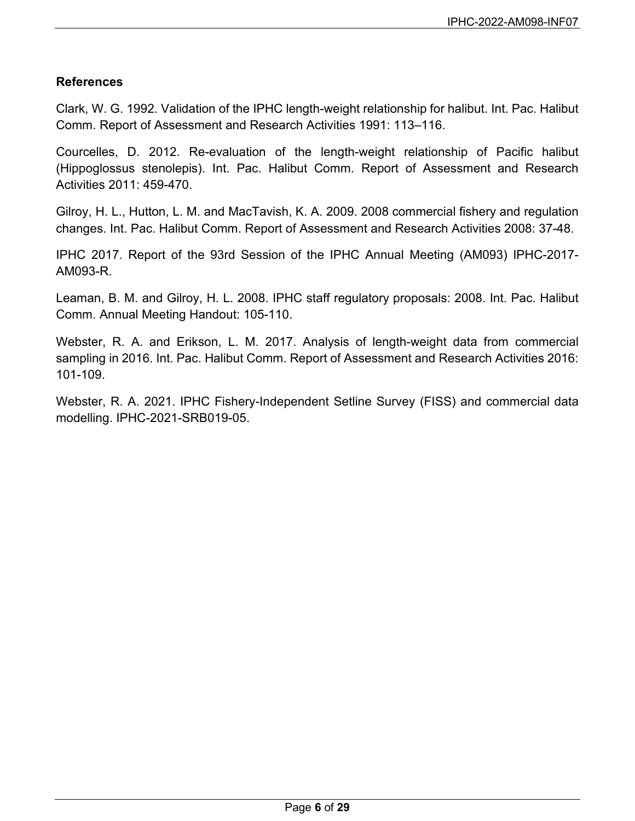## **References**

Clark, W. G. 1992. Validation of the IPHC length-weight relationship for halibut. Int. Pac. Halibut Comm. Report of Assessment and Research Activities 1991: 113–116.

Courcelles, D. 2012. Re-evaluation of the length-weight relationship of Pacific halibut (Hippoglossus stenolepis). Int. Pac. Halibut Comm. Report of Assessment and Research Activities 2011: 459-470.

Gilroy, H. L., Hutton, L. M. and MacTavish, K. A. 2009. 2008 commercial fishery and regulation changes. Int. Pac. Halibut Comm. Report of Assessment and Research Activities 2008: 37-48.

IPHC 2017. Report of the 93rd Session of the IPHC Annual Meeting (AM093) IPHC-2017- AM093-R.

Leaman, B. M. and Gilroy, H. L. 2008. IPHC staff regulatory proposals: 2008. Int. Pac. Halibut Comm. Annual Meeting Handout: 105-110.

Webster, R. A. and Erikson, L. M. 2017. Analysis of length-weight data from commercial sampling in 2016. Int. Pac. Halibut Comm. Report of Assessment and Research Activities 2016: 101-109.

Webster, R. A. 2021. IPHC Fishery-Independent Setline Survey (FISS) and commercial data modelling. IPHC-2021-SRB019-05.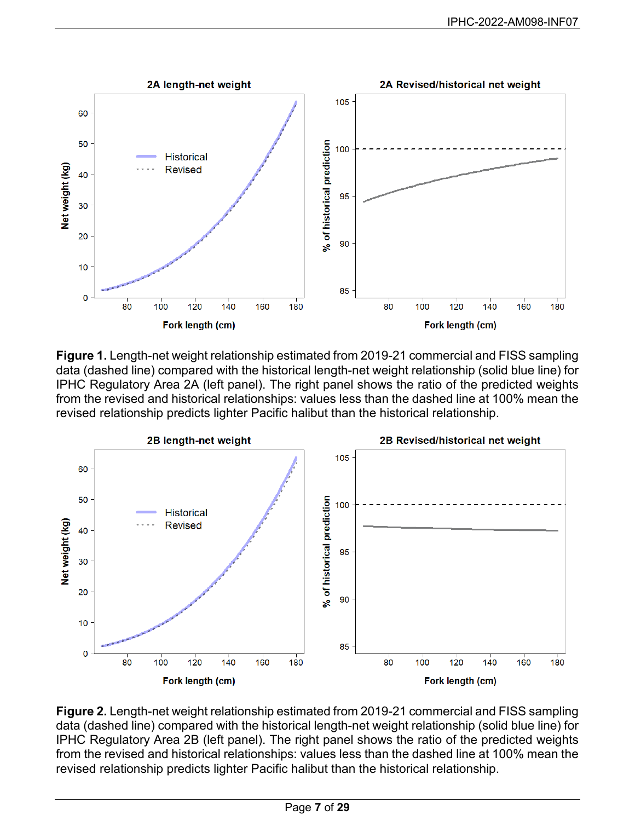<span id="page-6-0"></span>

**Figure 1.** Length-net weight relationship estimated from 2019-21 commercial and FISS sampling data (dashed line) compared with the historical length-net weight relationship (solid blue line) for IPHC Regulatory Area 2A (left panel). The right panel shows the ratio of the predicted weights from the revised and historical relationships: values less than the dashed line at 100% mean the revised relationship predicts lighter Pacific halibut than the historical relationship.

<span id="page-6-1"></span>

**Figure 2.** Length-net weight relationship estimated from 2019-21 commercial and FISS sampling data (dashed line) compared with the historical length-net weight relationship (solid blue line) for IPHC Regulatory Area 2B (left panel). The right panel shows the ratio of the predicted weights from the revised and historical relationships: values less than the dashed line at 100% mean the revised relationship predicts lighter Pacific halibut than the historical relationship.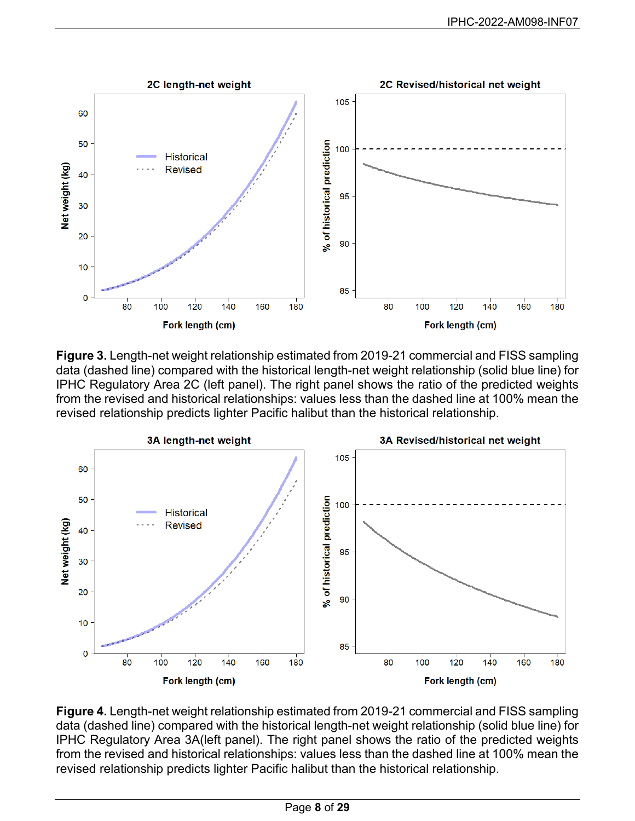

**Figure 3.** Length-net weight relationship estimated from 2019-21 commercial and FISS sampling data (dashed line) compared with the historical length-net weight relationship (solid blue line) for IPHC Regulatory Area 2C (left panel). The right panel shows the ratio of the predicted weights from the revised and historical relationships: values less than the dashed line at 100% mean the revised relationship predicts lighter Pacific halibut than the historical relationship.

<span id="page-7-0"></span>

**Figure 4.** Length-net weight relationship estimated from 2019-21 commercial and FISS sampling data (dashed line) compared with the historical length-net weight relationship (solid blue line) for IPHC Regulatory Area 3A(left panel). The right panel shows the ratio of the predicted weights from the revised and historical relationships: values less than the dashed line at 100% mean the revised relationship predicts lighter Pacific halibut than the historical relationship.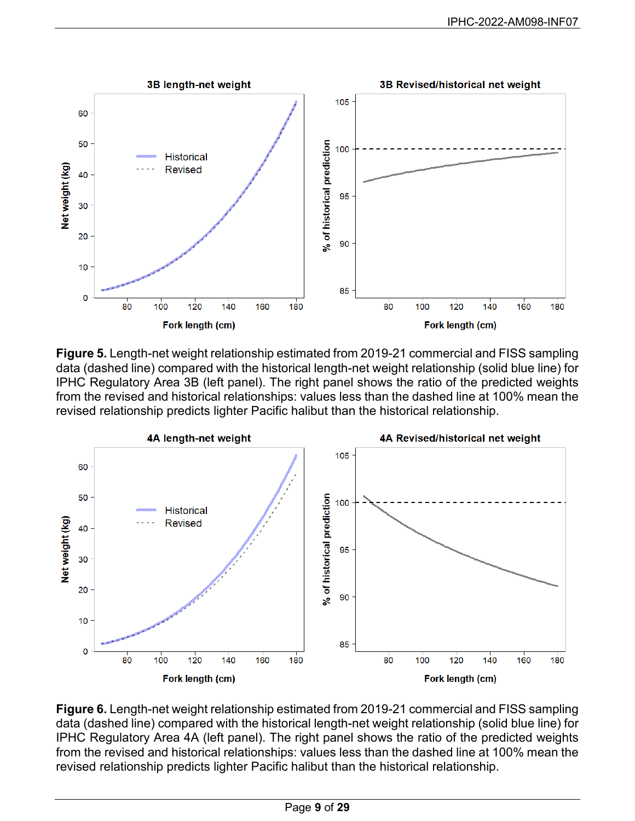<span id="page-8-1"></span>

**Figure 5.** Length-net weight relationship estimated from 2019-21 commercial and FISS sampling data (dashed line) compared with the historical length-net weight relationship (solid blue line) for IPHC Regulatory Area 3B (left panel). The right panel shows the ratio of the predicted weights from the revised and historical relationships: values less than the dashed line at 100% mean the revised relationship predicts lighter Pacific halibut than the historical relationship.

<span id="page-8-0"></span>

**Figure 6.** Length-net weight relationship estimated from 2019-21 commercial and FISS sampling data (dashed line) compared with the historical length-net weight relationship (solid blue line) for IPHC Regulatory Area 4A (left panel). The right panel shows the ratio of the predicted weights from the revised and historical relationships: values less than the dashed line at 100% mean the revised relationship predicts lighter Pacific halibut than the historical relationship.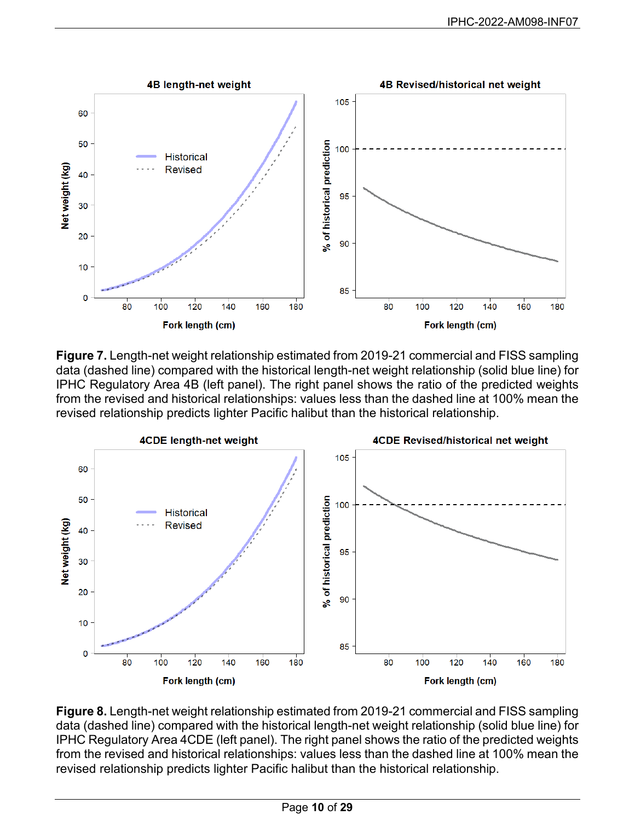<span id="page-9-0"></span>

**Figure 7.** Length-net weight relationship estimated from 2019-21 commercial and FISS sampling data (dashed line) compared with the historical length-net weight relationship (solid blue line) for IPHC Regulatory Area 4B (left panel). The right panel shows the ratio of the predicted weights from the revised and historical relationships: values less than the dashed line at 100% mean the revised relationship predicts lighter Pacific halibut than the historical relationship.



**Figure 8.** Length-net weight relationship estimated from 2019-21 commercial and FISS sampling data (dashed line) compared with the historical length-net weight relationship (solid blue line) for IPHC Regulatory Area 4CDE (left panel). The right panel shows the ratio of the predicted weights from the revised and historical relationships: values less than the dashed line at 100% mean the revised relationship predicts lighter Pacific halibut than the historical relationship.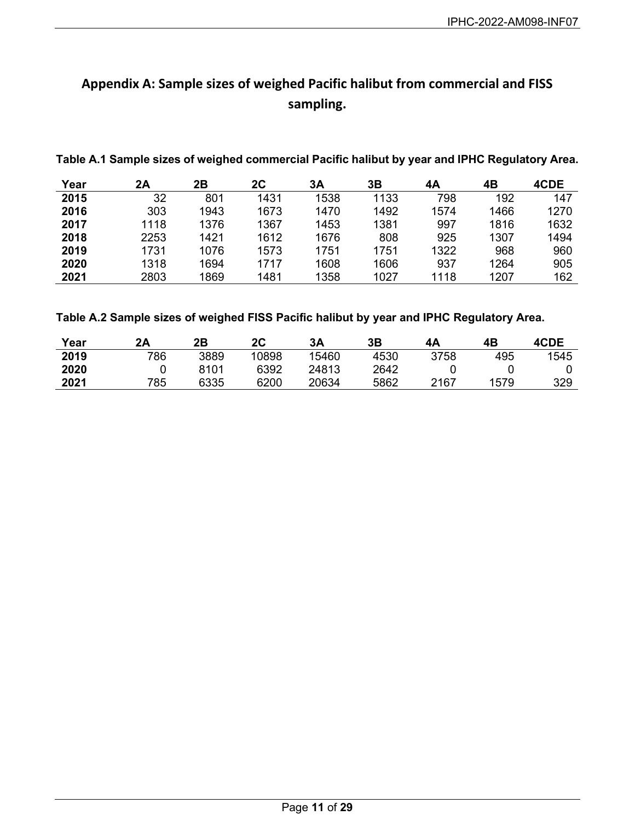# <span id="page-10-0"></span>**Appendix A: Sample sizes of weighed Pacific halibut from commercial and FISS sampling.**

**Table A.1 Sample sizes of weighed commercial Pacific halibut by year and IPHC Regulatory Area.**

| Year | 2Α   | 2Β   | 2C   | 3A   | 3Β   | 4Α   | 4Β   | 4CDE |
|------|------|------|------|------|------|------|------|------|
| 2015 | 32   | 801  | 1431 | 1538 | 1133 | 798  | 192  | 147  |
| 2016 | 303  | 1943 | 1673 | 1470 | 1492 | 1574 | 1466 | 1270 |
| 2017 | 1118 | 1376 | 1367 | 1453 | 1381 | 997  | 1816 | 1632 |
| 2018 | 2253 | 1421 | 1612 | 1676 | 808  | 925  | 1307 | 1494 |
| 2019 | 1731 | 1076 | 1573 | 1751 | 1751 | 1322 | 968  | 960  |
| 2020 | 1318 | 1694 | 1717 | 1608 | 1606 | 937  | 1264 | 905  |
| 2021 | 2803 | 1869 | 1481 | 1358 | 1027 | 1118 | 1207 | 162  |

**Table A.2 Sample sizes of weighed FISS Pacific halibut by year and IPHC Regulatory Area.**

| Year | 2Α  | 2Β   | 2С    | 3A    | 3Β   | 4A   | 4Β   | 4CDE |
|------|-----|------|-------|-------|------|------|------|------|
| 2019 | 786 | 3889 | 10898 | 15460 | 4530 | 3758 | 495  | 1545 |
| 2020 |     | 8101 | 6392  | 24813 | 2642 |      |      |      |
| 2021 | 785 | 6335 | 6200  | 20634 | 5862 | 2167 | 1579 | 329  |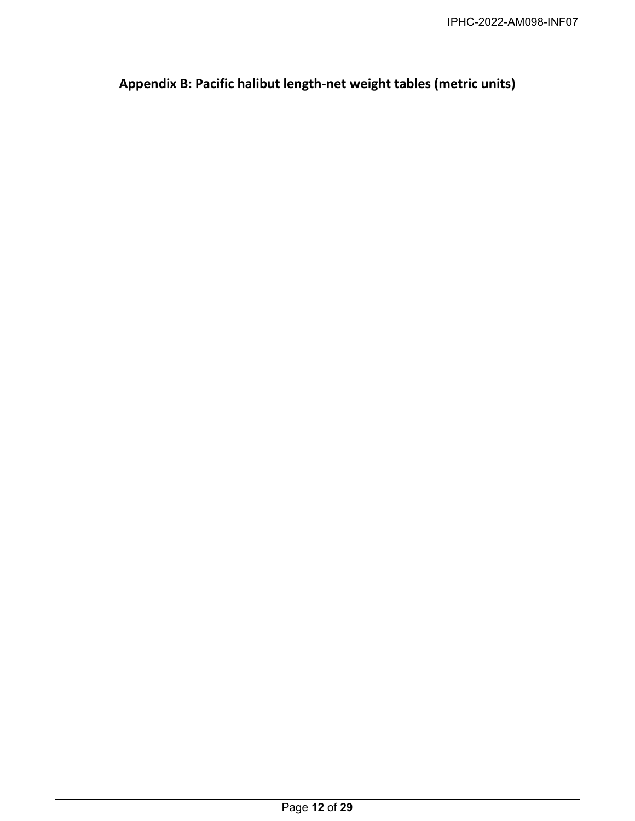<span id="page-11-0"></span>**Appendix B: Pacific halibut length-net weight tables (metric units)**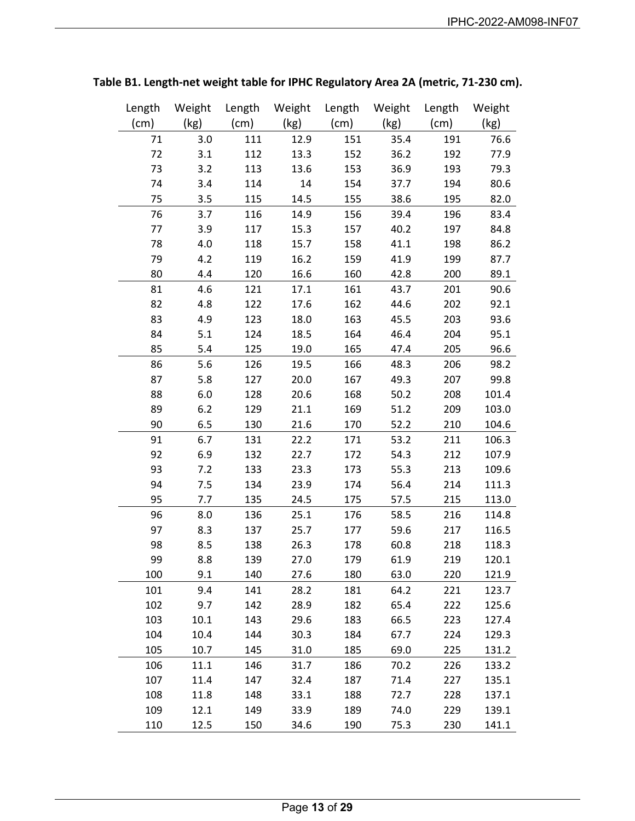| Length | Weight | Length | Weight | Length | Weight | Length | Weight |
|--------|--------|--------|--------|--------|--------|--------|--------|
| (cm)   | (kg)   | (cm)   | (kg)   | (cm)   | (kg)   | (cm)   | (kg)   |
| 71     | 3.0    | 111    | 12.9   | 151    | 35.4   | 191    | 76.6   |
| 72     | 3.1    | 112    | 13.3   | 152    | 36.2   | 192    | 77.9   |
| 73     | 3.2    | 113    | 13.6   | 153    | 36.9   | 193    | 79.3   |
| 74     | 3.4    | 114    | 14     | 154    | 37.7   | 194    | 80.6   |
| 75     | 3.5    | 115    | 14.5   | 155    | 38.6   | 195    | 82.0   |
| 76     | 3.7    | 116    | 14.9   | 156    | 39.4   | 196    | 83.4   |
| 77     | 3.9    | 117    | 15.3   | 157    | 40.2   | 197    | 84.8   |
| 78     | 4.0    | 118    | 15.7   | 158    | 41.1   | 198    | 86.2   |
| 79     | 4.2    | 119    | 16.2   | 159    | 41.9   | 199    | 87.7   |
| 80     | 4.4    | 120    | 16.6   | 160    | 42.8   | 200    | 89.1   |
| 81     | 4.6    | 121    | 17.1   | 161    | 43.7   | 201    | 90.6   |
| 82     | 4.8    | 122    | 17.6   | 162    | 44.6   | 202    | 92.1   |
| 83     | 4.9    | 123    | 18.0   | 163    | 45.5   | 203    | 93.6   |
| 84     | 5.1    | 124    | 18.5   | 164    | 46.4   | 204    | 95.1   |
| 85     | 5.4    | 125    | 19.0   | 165    | 47.4   | 205    | 96.6   |
| 86     | 5.6    | 126    | 19.5   | 166    | 48.3   | 206    | 98.2   |
| 87     | 5.8    | 127    | 20.0   | 167    | 49.3   | 207    | 99.8   |
| 88     | 6.0    | 128    | 20.6   | 168    | 50.2   | 208    | 101.4  |
| 89     | 6.2    | 129    | 21.1   | 169    | 51.2   | 209    | 103.0  |
| 90     | 6.5    | 130    | 21.6   | 170    | 52.2   | 210    | 104.6  |
| 91     | 6.7    | 131    | 22.2   | 171    | 53.2   | 211    | 106.3  |
| 92     | 6.9    | 132    | 22.7   | 172    | 54.3   | 212    | 107.9  |
| 93     | 7.2    | 133    | 23.3   | 173    | 55.3   | 213    | 109.6  |
| 94     | 7.5    | 134    | 23.9   | 174    | 56.4   | 214    | 111.3  |
| 95     | 7.7    | 135    | 24.5   | 175    | 57.5   | 215    | 113.0  |
| 96     | 8.0    | 136    | 25.1   | 176    | 58.5   | 216    | 114.8  |
| 97     | 8.3    | 137    | 25.7   | 177    | 59.6   | 217    | 116.5  |
| 98     | 8.5    | 138    | 26.3   | 178    | 60.8   | 218    | 118.3  |
| 99     | 8.8    | 139    | 27.0   | 179    | 61.9   | 219    | 120.1  |
| 100    | 9.1    | 140    | 27.6   | 180    | 63.0   | 220    | 121.9  |
| 101    | 9.4    | 141    | 28.2   | 181    | 64.2   | 221    | 123.7  |
| 102    | 9.7    | 142    | 28.9   | 182    | 65.4   | 222    | 125.6  |
| 103    | 10.1   | 143    | 29.6   | 183    | 66.5   | 223    | 127.4  |
| 104    | 10.4   | 144    | 30.3   | 184    | 67.7   | 224    | 129.3  |
| 105    | 10.7   | 145    | 31.0   | 185    | 69.0   | 225    | 131.2  |
| 106    | 11.1   | 146    | 31.7   | 186    | 70.2   | 226    | 133.2  |
| 107    | 11.4   | 147    | 32.4   | 187    | 71.4   | 227    | 135.1  |
| 108    | 11.8   | 148    | 33.1   | 188    | 72.7   | 228    | 137.1  |
| 109    | 12.1   | 149    | 33.9   | 189    | 74.0   | 229    | 139.1  |
| 110    | 12.5   | 150    | 34.6   | 190    | 75.3   | 230    | 141.1  |

**Table B1. Length-net weight table for IPHC Regulatory Area 2A (metric, 71-230 cm).**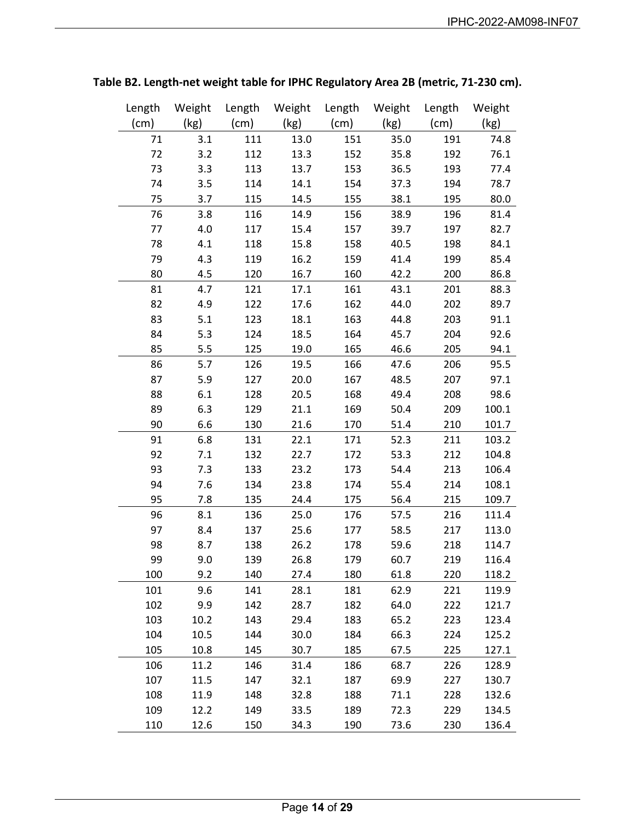| Length | Weight | Length | Weight | Length | Weight | Length | Weight |
|--------|--------|--------|--------|--------|--------|--------|--------|
| (cm)   | (kg)   | (cm)   | (kg)   | (cm)   | (kg)   | (cm)   | (kg)   |
| 71     | 3.1    | 111    | 13.0   | 151    | 35.0   | 191    | 74.8   |
| 72     | 3.2    | 112    | 13.3   | 152    | 35.8   | 192    | 76.1   |
| 73     | 3.3    | 113    | 13.7   | 153    | 36.5   | 193    | 77.4   |
| 74     | 3.5    | 114    | 14.1   | 154    | 37.3   | 194    | 78.7   |
| 75     | 3.7    | 115    | 14.5   | 155    | 38.1   | 195    | 80.0   |
| 76     | 3.8    | 116    | 14.9   | 156    | 38.9   | 196    | 81.4   |
| 77     | 4.0    | 117    | 15.4   | 157    | 39.7   | 197    | 82.7   |
| 78     | 4.1    | 118    | 15.8   | 158    | 40.5   | 198    | 84.1   |
| 79     | 4.3    | 119    | 16.2   | 159    | 41.4   | 199    | 85.4   |
| 80     | 4.5    | 120    | 16.7   | 160    | 42.2   | 200    | 86.8   |
| 81     | 4.7    | 121    | 17.1   | 161    | 43.1   | 201    | 88.3   |
| 82     | 4.9    | 122    | 17.6   | 162    | 44.0   | 202    | 89.7   |
| 83     | 5.1    | 123    | 18.1   | 163    | 44.8   | 203    | 91.1   |
| 84     | 5.3    | 124    | 18.5   | 164    | 45.7   | 204    | 92.6   |
| 85     | 5.5    | 125    | 19.0   | 165    | 46.6   | 205    | 94.1   |
| 86     | 5.7    | 126    | 19.5   | 166    | 47.6   | 206    | 95.5   |
| 87     | 5.9    | 127    | 20.0   | 167    | 48.5   | 207    | 97.1   |
| 88     | 6.1    | 128    | 20.5   | 168    | 49.4   | 208    | 98.6   |
| 89     | 6.3    | 129    | 21.1   | 169    | 50.4   | 209    | 100.1  |
| 90     | 6.6    | 130    | 21.6   | 170    | 51.4   | 210    | 101.7  |
| 91     | 6.8    | 131    | 22.1   | 171    | 52.3   | 211    | 103.2  |
| 92     | 7.1    | 132    | 22.7   | 172    | 53.3   | 212    | 104.8  |
| 93     | 7.3    | 133    | 23.2   | 173    | 54.4   | 213    | 106.4  |
| 94     | 7.6    | 134    | 23.8   | 174    | 55.4   | 214    | 108.1  |
| 95     | 7.8    | 135    | 24.4   | 175    | 56.4   | 215    | 109.7  |
| 96     | 8.1    | 136    | 25.0   | 176    | 57.5   | 216    | 111.4  |
| 97     | 8.4    | 137    | 25.6   | 177    | 58.5   | 217    | 113.0  |
| 98     | 8.7    | 138    | 26.2   | 178    | 59.6   | 218    | 114.7  |
| 99     | 9.0    | 139    | 26.8   | 179    | 60.7   | 219    | 116.4  |
| 100    | 9.2    | 140    | 27.4   | 180    | 61.8   | 220    | 118.2  |
| 101    | 9.6    | 141    | 28.1   | 181    | 62.9   | 221    | 119.9  |
| 102    | 9.9    | 142    | 28.7   | 182    | 64.0   | 222    | 121.7  |
| 103    | 10.2   | 143    | 29.4   | 183    | 65.2   | 223    | 123.4  |
| 104    | 10.5   | 144    | 30.0   | 184    | 66.3   | 224    | 125.2  |
| 105    | 10.8   | 145    | 30.7   | 185    | 67.5   | 225    | 127.1  |
| 106    | 11.2   | 146    | 31.4   | 186    | 68.7   | 226    | 128.9  |
| 107    | 11.5   | 147    | 32.1   | 187    | 69.9   | 227    | 130.7  |
| 108    | 11.9   | 148    | 32.8   | 188    | 71.1   | 228    | 132.6  |
| 109    | 12.2   | 149    | 33.5   | 189    | 72.3   | 229    | 134.5  |
| 110    | 12.6   | 150    | 34.3   | 190    | 73.6   | 230    | 136.4  |

# **Table B2. Length-net weight table for IPHC Regulatory Area 2B (metric, 71-230 cm).**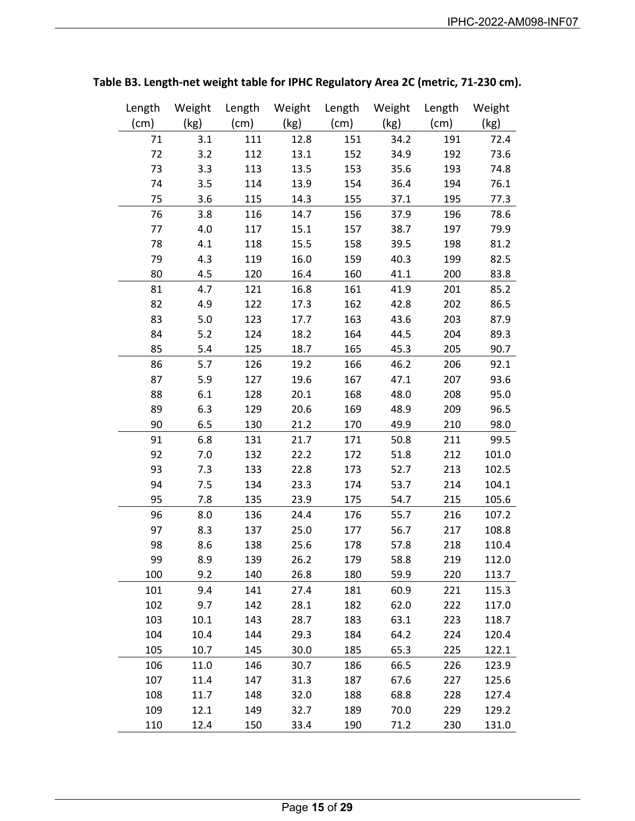| Length | Weight | Length | Weight | Length | Weight | Length | Weight |
|--------|--------|--------|--------|--------|--------|--------|--------|
| (cm)   | (kg)   | (cm)   | (kg)   | (cm)   | (kg)   | (cm)   | (kg)   |
| 71     | 3.1    | 111    | 12.8   | 151    | 34.2   | 191    | 72.4   |
| 72     | 3.2    | 112    | 13.1   | 152    | 34.9   | 192    | 73.6   |
| 73     | 3.3    | 113    | 13.5   | 153    | 35.6   | 193    | 74.8   |
| 74     | 3.5    | 114    | 13.9   | 154    | 36.4   | 194    | 76.1   |
| 75     | 3.6    | 115    | 14.3   | 155    | 37.1   | 195    | 77.3   |
| 76     | 3.8    | 116    | 14.7   | 156    | 37.9   | 196    | 78.6   |
| 77     | 4.0    | 117    | 15.1   | 157    | 38.7   | 197    | 79.9   |
| 78     | 4.1    | 118    | 15.5   | 158    | 39.5   | 198    | 81.2   |
| 79     | 4.3    | 119    | 16.0   | 159    | 40.3   | 199    | 82.5   |
| 80     | 4.5    | 120    | 16.4   | 160    | 41.1   | 200    | 83.8   |
| 81     | 4.7    | 121    | 16.8   | 161    | 41.9   | 201    | 85.2   |
| 82     | 4.9    | 122    | 17.3   | 162    | 42.8   | 202    | 86.5   |
| 83     | 5.0    | 123    | 17.7   | 163    | 43.6   | 203    | 87.9   |
| 84     | 5.2    | 124    | 18.2   | 164    | 44.5   | 204    | 89.3   |
| 85     | 5.4    | 125    | 18.7   | 165    | 45.3   | 205    | 90.7   |
| 86     | 5.7    | 126    | 19.2   | 166    | 46.2   | 206    | 92.1   |
| 87     | 5.9    | 127    | 19.6   | 167    | 47.1   | 207    | 93.6   |
| 88     | 6.1    | 128    | 20.1   | 168    | 48.0   | 208    | 95.0   |
| 89     | 6.3    | 129    | 20.6   | 169    | 48.9   | 209    | 96.5   |
| 90     | 6.5    | 130    | 21.2   | 170    | 49.9   | 210    | 98.0   |
| 91     | 6.8    | 131    | 21.7   | 171    | 50.8   | 211    | 99.5   |
| 92     | 7.0    | 132    | 22.2   | 172    | 51.8   | 212    | 101.0  |
| 93     | 7.3    | 133    | 22.8   | 173    | 52.7   | 213    | 102.5  |
| 94     | 7.5    | 134    | 23.3   | 174    | 53.7   | 214    | 104.1  |
| 95     | 7.8    | 135    | 23.9   | 175    | 54.7   | 215    | 105.6  |
| 96     | 8.0    | 136    | 24.4   | 176    | 55.7   | 216    | 107.2  |
| 97     | 8.3    | 137    | 25.0   | 177    | 56.7   | 217    | 108.8  |
| 98     | 8.6    | 138    | 25.6   | 178    | 57.8   | 218    | 110.4  |
| 99     | 8.9    | 139    | 26.2   | 179    | 58.8   | 219    | 112.0  |
| 100    | 9.2    | 140    | 26.8   | 180    | 59.9   | 220    | 113.7  |
| 101    | 9.4    | 141    | 27.4   | 181    | 60.9   | 221    | 115.3  |
| 102    | 9.7    | 142    | 28.1   | 182    | 62.0   | 222    | 117.0  |
| 103    | 10.1   | 143    | 28.7   | 183    | 63.1   | 223    | 118.7  |
| 104    | 10.4   | 144    | 29.3   | 184    | 64.2   | 224    | 120.4  |
| 105    | 10.7   | 145    | 30.0   | 185    | 65.3   | 225    | 122.1  |
| 106    | 11.0   | 146    | 30.7   | 186    | 66.5   | 226    | 123.9  |
| 107    | 11.4   | 147    | 31.3   | 187    | 67.6   | 227    | 125.6  |
| 108    | 11.7   | 148    | 32.0   | 188    | 68.8   | 228    | 127.4  |
| 109    | 12.1   | 149    | 32.7   | 189    | 70.0   | 229    | 129.2  |
| 110    | 12.4   | 150    | 33.4   | 190    | 71.2   | 230    | 131.0  |

# **Table B3. Length-net weight table for IPHC Regulatory Area 2C (metric, 71-230 cm).**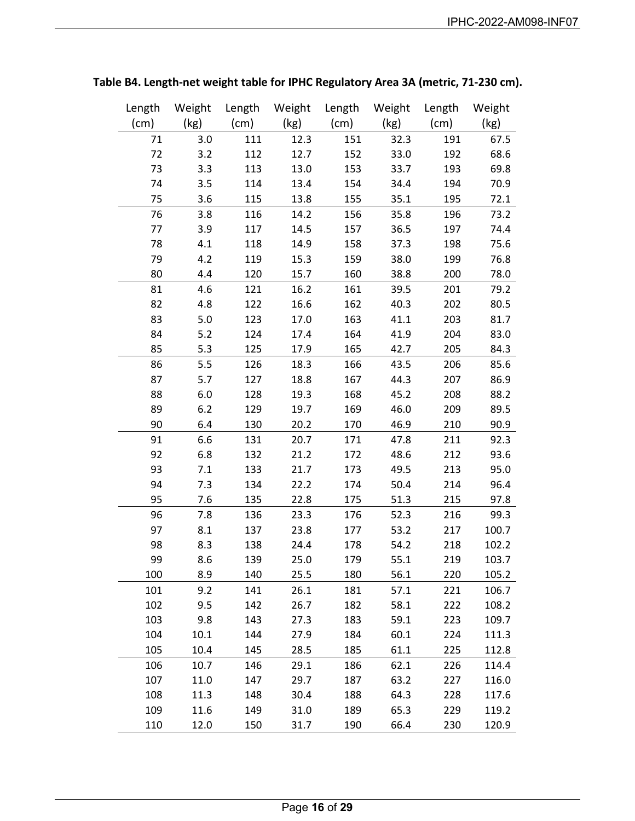| Length | Weight | Length | Weight | Length | Weight | Length | Weight |
|--------|--------|--------|--------|--------|--------|--------|--------|
| (cm)   | (kg)   | (cm)   | (kg)   | (cm)   | (kg)   | (cm)   | (kg)   |
| 71     | 3.0    | 111    | 12.3   | 151    | 32.3   | 191    | 67.5   |
| 72     | 3.2    | 112    | 12.7   | 152    | 33.0   | 192    | 68.6   |
| 73     | 3.3    | 113    | 13.0   | 153    | 33.7   | 193    | 69.8   |
| 74     | 3.5    | 114    | 13.4   | 154    | 34.4   | 194    | 70.9   |
| 75     | 3.6    | 115    | 13.8   | 155    | 35.1   | 195    | 72.1   |
| 76     | 3.8    | 116    | 14.2   | 156    | 35.8   | 196    | 73.2   |
| 77     | 3.9    | 117    | 14.5   | 157    | 36.5   | 197    | 74.4   |
| 78     | 4.1    | 118    | 14.9   | 158    | 37.3   | 198    | 75.6   |
| 79     | 4.2    | 119    | 15.3   | 159    | 38.0   | 199    | 76.8   |
| 80     | 4.4    | 120    | 15.7   | 160    | 38.8   | 200    | 78.0   |
| 81     | 4.6    | 121    | 16.2   | 161    | 39.5   | 201    | 79.2   |
| 82     | 4.8    | 122    | 16.6   | 162    | 40.3   | 202    | 80.5   |
| 83     | 5.0    | 123    | 17.0   | 163    | 41.1   | 203    | 81.7   |
| 84     | 5.2    | 124    | 17.4   | 164    | 41.9   | 204    | 83.0   |
| 85     | 5.3    | 125    | 17.9   | 165    | 42.7   | 205    | 84.3   |
| 86     | 5.5    | 126    | 18.3   | 166    | 43.5   | 206    | 85.6   |
| 87     | 5.7    | 127    | 18.8   | 167    | 44.3   | 207    | 86.9   |
| 88     | 6.0    | 128    | 19.3   | 168    | 45.2   | 208    | 88.2   |
| 89     | 6.2    | 129    | 19.7   | 169    | 46.0   | 209    | 89.5   |
| 90     | 6.4    | 130    | 20.2   | 170    | 46.9   | 210    | 90.9   |
| 91     | 6.6    | 131    | 20.7   | 171    | 47.8   | 211    | 92.3   |
| 92     | 6.8    | 132    | 21.2   | 172    | 48.6   | 212    | 93.6   |
| 93     | 7.1    | 133    | 21.7   | 173    | 49.5   | 213    | 95.0   |
| 94     | 7.3    | 134    | 22.2   | 174    | 50.4   | 214    | 96.4   |
| 95     | 7.6    | 135    | 22.8   | 175    | 51.3   | 215    | 97.8   |
| 96     | 7.8    | 136    | 23.3   | 176    | 52.3   | 216    | 99.3   |
| 97     | 8.1    | 137    | 23.8   | 177    | 53.2   | 217    | 100.7  |
| 98     | 8.3    | 138    | 24.4   | 178    | 54.2   | 218    | 102.2  |
| 99     | 8.6    | 139    | 25.0   | 179    | 55.1   | 219    | 103.7  |
| 100    | 8.9    | 140    | 25.5   | 180    | 56.1   | 220    | 105.2  |
| 101    | 9.2    | 141    | 26.1   | 181    | 57.1   | 221    | 106.7  |
| 102    | 9.5    | 142    | 26.7   | 182    | 58.1   | 222    | 108.2  |
| 103    | 9.8    | 143    | 27.3   | 183    | 59.1   | 223    | 109.7  |
| 104    | 10.1   | 144    | 27.9   | 184    | 60.1   | 224    | 111.3  |
| 105    | 10.4   | 145    | 28.5   | 185    | 61.1   | 225    | 112.8  |
| 106    | 10.7   | 146    | 29.1   | 186    | 62.1   | 226    | 114.4  |
| 107    | 11.0   | 147    | 29.7   | 187    | 63.2   | 227    | 116.0  |
| 108    | 11.3   | 148    | 30.4   | 188    | 64.3   | 228    | 117.6  |
| 109    | 11.6   | 149    | 31.0   | 189    | 65.3   | 229    | 119.2  |
| 110    | 12.0   | 150    | 31.7   | 190    | 66.4   | 230    | 120.9  |

# **Table B4. Length-net weight table for IPHC Regulatory Area 3A (metric, 71-230 cm).**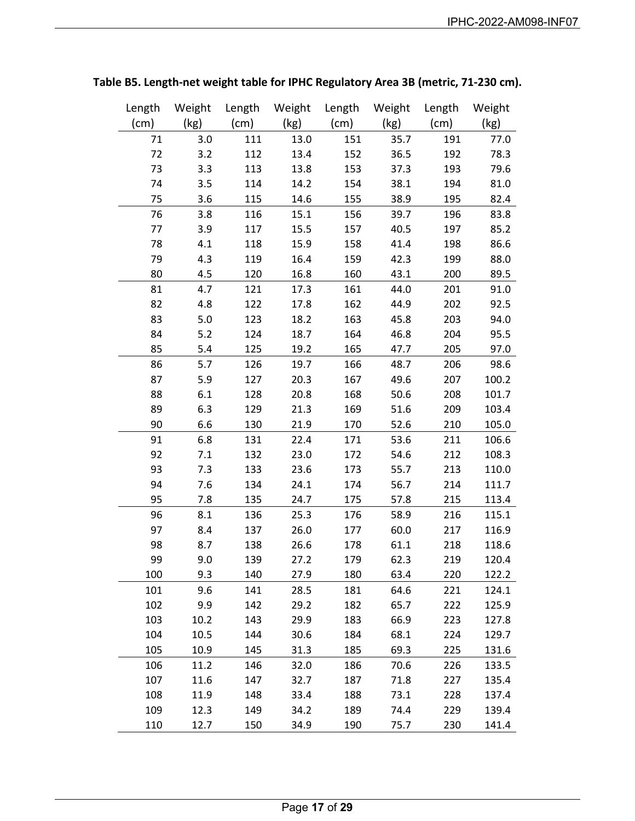| Length | Weight | Length | Weight | Length | Weight | Length | Weight |
|--------|--------|--------|--------|--------|--------|--------|--------|
| (cm)   | (kg)   | (cm)   | (kg)   | (cm)   | (kg)   | (cm)   | (kg)   |
| 71     | 3.0    | 111    | 13.0   | 151    | 35.7   | 191    | 77.0   |
| 72     | 3.2    | 112    | 13.4   | 152    | 36.5   | 192    | 78.3   |
| 73     | 3.3    | 113    | 13.8   | 153    | 37.3   | 193    | 79.6   |
| 74     | 3.5    | 114    | 14.2   | 154    | 38.1   | 194    | 81.0   |
| 75     | 3.6    | 115    | 14.6   | 155    | 38.9   | 195    | 82.4   |
| 76     | 3.8    | 116    | 15.1   | 156    | 39.7   | 196    | 83.8   |
| 77     | 3.9    | 117    | 15.5   | 157    | 40.5   | 197    | 85.2   |
| 78     | 4.1    | 118    | 15.9   | 158    | 41.4   | 198    | 86.6   |
| 79     | 4.3    | 119    | 16.4   | 159    | 42.3   | 199    | 88.0   |
| 80     | 4.5    | 120    | 16.8   | 160    | 43.1   | 200    | 89.5   |
| 81     | 4.7    | 121    | 17.3   | 161    | 44.0   | 201    | 91.0   |
| 82     | 4.8    | 122    | 17.8   | 162    | 44.9   | 202    | 92.5   |
| 83     | 5.0    | 123    | 18.2   | 163    | 45.8   | 203    | 94.0   |
| 84     | 5.2    | 124    | 18.7   | 164    | 46.8   | 204    | 95.5   |
| 85     | 5.4    | 125    | 19.2   | 165    | 47.7   | 205    | 97.0   |
| 86     | 5.7    | 126    | 19.7   | 166    | 48.7   | 206    | 98.6   |
| 87     | 5.9    | 127    | 20.3   | 167    | 49.6   | 207    | 100.2  |
| 88     | 6.1    | 128    | 20.8   | 168    | 50.6   | 208    | 101.7  |
| 89     | 6.3    | 129    | 21.3   | 169    | 51.6   | 209    | 103.4  |
| 90     | 6.6    | 130    | 21.9   | 170    | 52.6   | 210    | 105.0  |
| 91     | 6.8    | 131    | 22.4   | 171    | 53.6   | 211    | 106.6  |
| 92     | 7.1    | 132    | 23.0   | 172    | 54.6   | 212    | 108.3  |
| 93     | 7.3    | 133    | 23.6   | 173    | 55.7   | 213    | 110.0  |
| 94     | 7.6    | 134    | 24.1   | 174    | 56.7   | 214    | 111.7  |
| 95     | 7.8    | 135    | 24.7   | 175    | 57.8   | 215    | 113.4  |
| 96     | 8.1    | 136    | 25.3   | 176    | 58.9   | 216    | 115.1  |
| 97     | 8.4    | 137    | 26.0   | 177    | 60.0   | 217    | 116.9  |
| 98     | 8.7    | 138    | 26.6   | 178    | 61.1   | 218    | 118.6  |
| 99     | 9.0    | 139    | 27.2   | 179    | 62.3   | 219    | 120.4  |
| 100    | 9.3    | 140    | 27.9   | 180    | 63.4   | 220    | 122.2  |
| 101    | 9.6    | 141    | 28.5   | 181    | 64.6   | 221    | 124.1  |
| 102    | 9.9    | 142    | 29.2   | 182    | 65.7   | 222    | 125.9  |
| 103    | 10.2   | 143    | 29.9   | 183    | 66.9   | 223    | 127.8  |
| 104    | 10.5   | 144    | 30.6   | 184    | 68.1   | 224    | 129.7  |
| 105    | 10.9   | 145    | 31.3   | 185    | 69.3   | 225    | 131.6  |
| 106    | 11.2   | 146    | 32.0   | 186    | 70.6   | 226    | 133.5  |
| 107    | 11.6   | 147    | 32.7   | 187    | 71.8   | 227    | 135.4  |
| 108    | 11.9   | 148    | 33.4   | 188    | 73.1   | 228    | 137.4  |
| 109    | 12.3   | 149    | 34.2   | 189    | 74.4   | 229    | 139.4  |
| 110    | 12.7   | 150    | 34.9   | 190    | 75.7   | 230    | 141.4  |

# **Table B5. Length-net weight table for IPHC Regulatory Area 3B (metric, 71-230 cm).**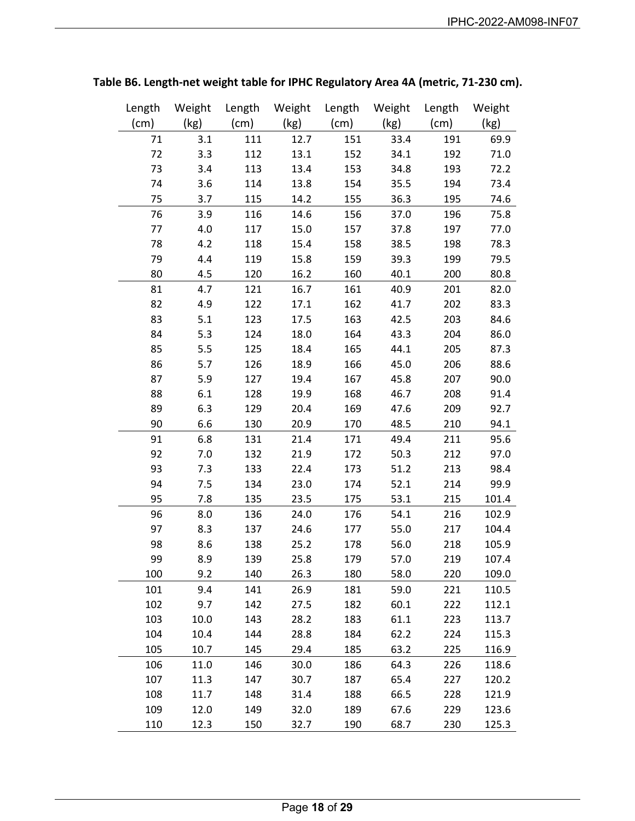| Length | Weight | Length | Weight | Length | Weight | Length          | Weight |
|--------|--------|--------|--------|--------|--------|-----------------|--------|
| (cm)   | (kg)   | (cm)   | (kg)   | (cm)   | (kg)   | $\mathsf{(cm)}$ | (kg)   |
| 71     | 3.1    | 111    | 12.7   | 151    | 33.4   | 191             | 69.9   |
| 72     | 3.3    | 112    | 13.1   | 152    | 34.1   | 192             | 71.0   |
| 73     | 3.4    | 113    | 13.4   | 153    | 34.8   | 193             | 72.2   |
| 74     | 3.6    | 114    | 13.8   | 154    | 35.5   | 194             | 73.4   |
| 75     | 3.7    | 115    | 14.2   | 155    | 36.3   | 195             | 74.6   |
| 76     | 3.9    | 116    | 14.6   | 156    | 37.0   | 196             | 75.8   |
| 77     | 4.0    | 117    | 15.0   | 157    | 37.8   | 197             | 77.0   |
| 78     | 4.2    | 118    | 15.4   | 158    | 38.5   | 198             | 78.3   |
| 79     | 4.4    | 119    | 15.8   | 159    | 39.3   | 199             | 79.5   |
| 80     | 4.5    | 120    | 16.2   | 160    | 40.1   | 200             | 80.8   |
| 81     | 4.7    | 121    | 16.7   | 161    | 40.9   | 201             | 82.0   |
| 82     | 4.9    | 122    | 17.1   | 162    | 41.7   | 202             | 83.3   |
| 83     | 5.1    | 123    | 17.5   | 163    | 42.5   | 203             | 84.6   |
| 84     | 5.3    | 124    | 18.0   | 164    | 43.3   | 204             | 86.0   |
| 85     | 5.5    | 125    | 18.4   | 165    | 44.1   | 205             | 87.3   |
| 86     | 5.7    | 126    | 18.9   | 166    | 45.0   | 206             | 88.6   |
| 87     | 5.9    | 127    | 19.4   | 167    | 45.8   | 207             | 90.0   |
| 88     | 6.1    | 128    | 19.9   | 168    | 46.7   | 208             | 91.4   |
| 89     | 6.3    | 129    | 20.4   | 169    | 47.6   | 209             | 92.7   |
| 90     | 6.6    | 130    | 20.9   | 170    | 48.5   | 210             | 94.1   |
| 91     | 6.8    | 131    | 21.4   | 171    | 49.4   | 211             | 95.6   |
| 92     | 7.0    | 132    | 21.9   | 172    | 50.3   | 212             | 97.0   |
| 93     | 7.3    | 133    | 22.4   | 173    | 51.2   | 213             | 98.4   |
| 94     | 7.5    | 134    | 23.0   | 174    | 52.1   | 214             | 99.9   |
| 95     | 7.8    | 135    | 23.5   | 175    | 53.1   | 215             | 101.4  |
| 96     | 8.0    | 136    | 24.0   | 176    | 54.1   | 216             | 102.9  |
| 97     | 8.3    | 137    | 24.6   | 177    | 55.0   | 217             | 104.4  |
| 98     | 8.6    | 138    | 25.2   | 178    | 56.0   | 218             | 105.9  |
| 99     | 8.9    | 139    | 25.8   | 179    | 57.0   | 219             | 107.4  |
| 100    | 9.2    | 140    | 26.3   | 180    | 58.0   | 220             | 109.0  |
| 101    | 9.4    | 141    | 26.9   | 181    | 59.0   | 221             | 110.5  |
| 102    | 9.7    | 142    | 27.5   | 182    | 60.1   | 222             | 112.1  |
| 103    | 10.0   | 143    | 28.2   | 183    | 61.1   | 223             | 113.7  |
| 104    | 10.4   | 144    | 28.8   | 184    | 62.2   | 224             | 115.3  |
| 105    | 10.7   | 145    | 29.4   | 185    | 63.2   | 225             | 116.9  |
| 106    | 11.0   | 146    | 30.0   | 186    | 64.3   | 226             | 118.6  |
| 107    | 11.3   | 147    | 30.7   | 187    | 65.4   | 227             | 120.2  |
| 108    | 11.7   | 148    | 31.4   | 188    | 66.5   | 228             | 121.9  |
| 109    | 12.0   | 149    | 32.0   | 189    | 67.6   | 229             | 123.6  |
| 110    | 12.3   | 150    | 32.7   | 190    | 68.7   | 230             | 125.3  |

# **Table B6. Length-net weight table for IPHC Regulatory Area 4A (metric, 71-230 cm).**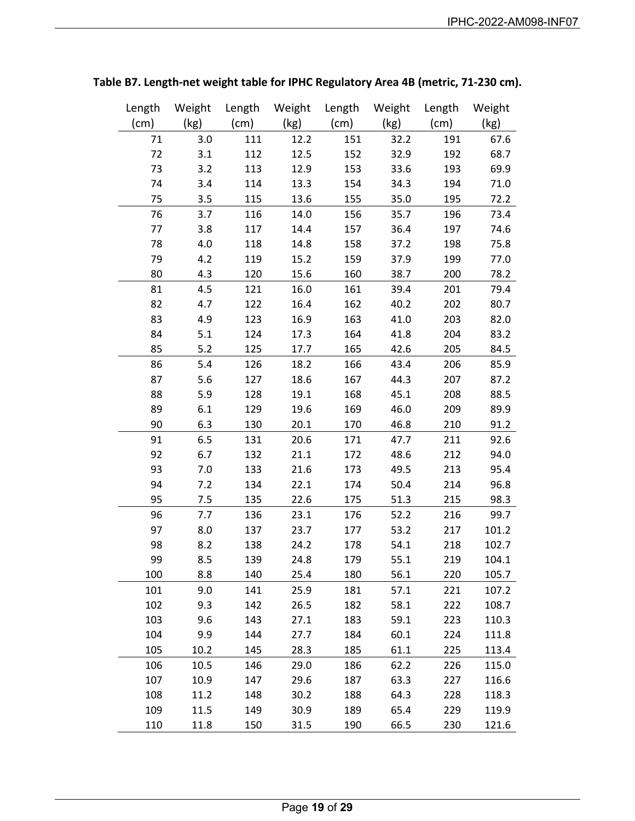| Length | Weight | Length | Weight | Length | Weight | Length | Weight |
|--------|--------|--------|--------|--------|--------|--------|--------|
| (cm)   | (kg)   | (cm)   | (kg)   | (cm)   | (kg)   | (cm)   | (kg)   |
| 71     | 3.0    | 111    | 12.2   | 151    | 32.2   | 191    | 67.6   |
| 72     | 3.1    | 112    | 12.5   | 152    | 32.9   | 192    | 68.7   |
| 73     | 3.2    | 113    | 12.9   | 153    | 33.6   | 193    | 69.9   |
| 74     | 3.4    | 114    | 13.3   | 154    | 34.3   | 194    | 71.0   |
| 75     | 3.5    | 115    | 13.6   | 155    | 35.0   | 195    | 72.2   |
| 76     | 3.7    | 116    | 14.0   | 156    | 35.7   | 196    | 73.4   |
| 77     | 3.8    | 117    | 14.4   | 157    | 36.4   | 197    | 74.6   |
| 78     | 4.0    | 118    | 14.8   | 158    | 37.2   | 198    | 75.8   |
| 79     | 4.2    | 119    | 15.2   | 159    | 37.9   | 199    | 77.0   |
| 80     | 4.3    | 120    | 15.6   | 160    | 38.7   | 200    | 78.2   |
| 81     | 4.5    | 121    | 16.0   | 161    | 39.4   | 201    | 79.4   |
| 82     | 4.7    | 122    | 16.4   | 162    | 40.2   | 202    | 80.7   |
| 83     | 4.9    | 123    | 16.9   | 163    | 41.0   | 203    | 82.0   |
| 84     | 5.1    | 124    | 17.3   | 164    | 41.8   | 204    | 83.2   |
| 85     | 5.2    | 125    | 17.7   | 165    | 42.6   | 205    | 84.5   |
| 86     | 5.4    | 126    | 18.2   | 166    | 43.4   | 206    | 85.9   |
| 87     | 5.6    | 127    | 18.6   | 167    | 44.3   | 207    | 87.2   |
| 88     | 5.9    | 128    | 19.1   | 168    | 45.1   | 208    | 88.5   |
| 89     | 6.1    | 129    | 19.6   | 169    | 46.0   | 209    | 89.9   |
| 90     | 6.3    | 130    | 20.1   | 170    | 46.8   | 210    | 91.2   |
| 91     | 6.5    | 131    | 20.6   | 171    | 47.7   | 211    | 92.6   |
| 92     | 6.7    | 132    | 21.1   | 172    | 48.6   | 212    | 94.0   |
| 93     | 7.0    | 133    | 21.6   | 173    | 49.5   | 213    | 95.4   |
| 94     | 7.2    | 134    | 22.1   | 174    | 50.4   | 214    | 96.8   |
| 95     | 7.5    | 135    | 22.6   | 175    | 51.3   | 215    | 98.3   |
| 96     | 7.7    | 136    | 23.1   | 176    | 52.2   | 216    | 99.7   |
| 97     | 8.0    | 137    | 23.7   | 177    | 53.2   | 217    | 101.2  |
| 98     | 8.2    | 138    | 24.2   | 178    | 54.1   | 218    | 102.7  |
| 99     | 8.5    | 139    | 24.8   | 179    | 55.1   | 219    | 104.1  |
| 100    | 8.8    | 140    | 25.4   | 180    | 56.1   | 220    | 105.7  |
| 101    | 9.0    | 141    | 25.9   | 181    | 57.1   | 221    | 107.2  |
| 102    | 9.3    | 142    | 26.5   | 182    | 58.1   | 222    | 108.7  |
| 103    | 9.6    | 143    | 27.1   | 183    | 59.1   | 223    | 110.3  |
| 104    | 9.9    | 144    | 27.7   | 184    | 60.1   | 224    | 111.8  |
| 105    | 10.2   | 145    | 28.3   | 185    | 61.1   | 225    | 113.4  |
| 106    | 10.5   | 146    | 29.0   | 186    | 62.2   | 226    | 115.0  |
| 107    | 10.9   | 147    | 29.6   | 187    | 63.3   | 227    | 116.6  |
| 108    | 11.2   | 148    | 30.2   | 188    | 64.3   | 228    | 118.3  |
| 109    | 11.5   | 149    | 30.9   | 189    | 65.4   | 229    | 119.9  |
| 110    | 11.8   | 150    | 31.5   | 190    | 66.5   | 230    | 121.6  |

**Table B7. Length-net weight table for IPHC Regulatory Area 4B (metric, 71-230 cm).**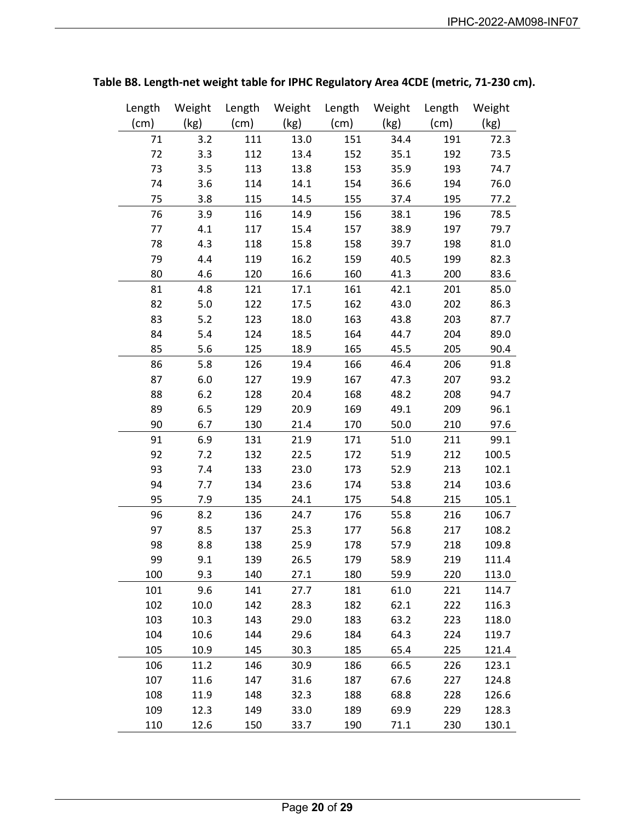| Length | Weight | Length | Weight | Length | Weight | Length | Weight |
|--------|--------|--------|--------|--------|--------|--------|--------|
| (cm)   | (kg)   | (cm)   | (kg)   | (cm)   | (kg)   | (cm)   | (kg)   |
| 71     | 3.2    | 111    | 13.0   | 151    | 34.4   | 191    | 72.3   |
| 72     | 3.3    | 112    | 13.4   | 152    | 35.1   | 192    | 73.5   |
| 73     | 3.5    | 113    | 13.8   | 153    | 35.9   | 193    | 74.7   |
| 74     | 3.6    | 114    | 14.1   | 154    | 36.6   | 194    | 76.0   |
| 75     | 3.8    | 115    | 14.5   | 155    | 37.4   | 195    | 77.2   |
| 76     | 3.9    | 116    | 14.9   | 156    | 38.1   | 196    | 78.5   |
| 77     | 4.1    | 117    | 15.4   | 157    | 38.9   | 197    | 79.7   |
| 78     | 4.3    | 118    | 15.8   | 158    | 39.7   | 198    | 81.0   |
| 79     | 4.4    | 119    | 16.2   | 159    | 40.5   | 199    | 82.3   |
| 80     | 4.6    | 120    | 16.6   | 160    | 41.3   | 200    | 83.6   |
| 81     | 4.8    | 121    | 17.1   | 161    | 42.1   | 201    | 85.0   |
| 82     | 5.0    | 122    | 17.5   | 162    | 43.0   | 202    | 86.3   |
| 83     | 5.2    | 123    | 18.0   | 163    | 43.8   | 203    | 87.7   |
| 84     | 5.4    | 124    | 18.5   | 164    | 44.7   | 204    | 89.0   |
| 85     | 5.6    | 125    | 18.9   | 165    | 45.5   | 205    | 90.4   |
| 86     | 5.8    | 126    | 19.4   | 166    | 46.4   | 206    | 91.8   |
| 87     | 6.0    | 127    | 19.9   | 167    | 47.3   | 207    | 93.2   |
| 88     | 6.2    | 128    | 20.4   | 168    | 48.2   | 208    | 94.7   |
| 89     | 6.5    | 129    | 20.9   | 169    | 49.1   | 209    | 96.1   |
| 90     | 6.7    | 130    | 21.4   | 170    | 50.0   | 210    | 97.6   |
| 91     | 6.9    | 131    | 21.9   | 171    | 51.0   | 211    | 99.1   |
| 92     | 7.2    | 132    | 22.5   | 172    | 51.9   | 212    | 100.5  |
| 93     | 7.4    | 133    | 23.0   | 173    | 52.9   | 213    | 102.1  |
| 94     | 7.7    | 134    | 23.6   | 174    | 53.8   | 214    | 103.6  |
| 95     | 7.9    | 135    | 24.1   | 175    | 54.8   | 215    | 105.1  |
| 96     | 8.2    | 136    | 24.7   | 176    | 55.8   | 216    | 106.7  |
| 97     | 8.5    | 137    | 25.3   | 177    | 56.8   | 217    | 108.2  |
| 98     | 8.8    | 138    | 25.9   | 178    | 57.9   | 218    | 109.8  |
| 99     | 9.1    | 139    | 26.5   | 179    | 58.9   | 219    | 111.4  |
| 100    | 9.3    | 140    | 27.1   | 180    | 59.9   | 220    | 113.0  |
| 101    | 9.6    | 141    | 27.7   | 181    | 61.0   | 221    | 114.7  |
| 102    | 10.0   | 142    | 28.3   | 182    | 62.1   | 222    | 116.3  |
| 103    | 10.3   | 143    | 29.0   | 183    | 63.2   | 223    | 118.0  |
| 104    | 10.6   | 144    | 29.6   | 184    | 64.3   | 224    | 119.7  |
| 105    | 10.9   | 145    | 30.3   | 185    | 65.4   | 225    | 121.4  |
| 106    | 11.2   | 146    | 30.9   | 186    | 66.5   | 226    | 123.1  |
| 107    | 11.6   | 147    | 31.6   | 187    | 67.6   | 227    | 124.8  |
| 108    | 11.9   | 148    | 32.3   | 188    | 68.8   | 228    | 126.6  |
| 109    | 12.3   | 149    | 33.0   | 189    | 69.9   | 229    | 128.3  |
| 110    | 12.6   | 150    | 33.7   | 190    | 71.1   | 230    | 130.1  |

# **Table B8. Length-net weight table for IPHC Regulatory Area 4CDE (metric, 71-230 cm).**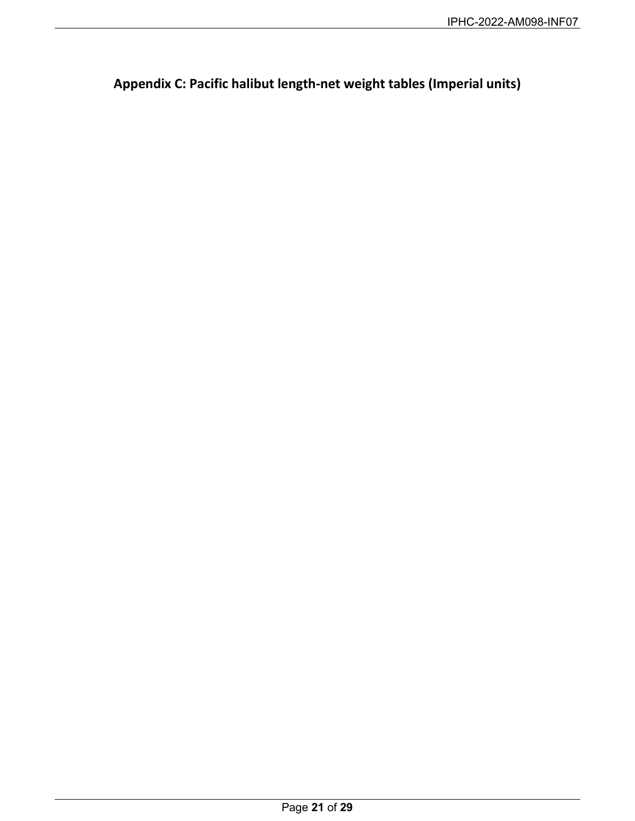<span id="page-20-0"></span>**Appendix C: Pacific halibut length-net weight tables (Imperial units)**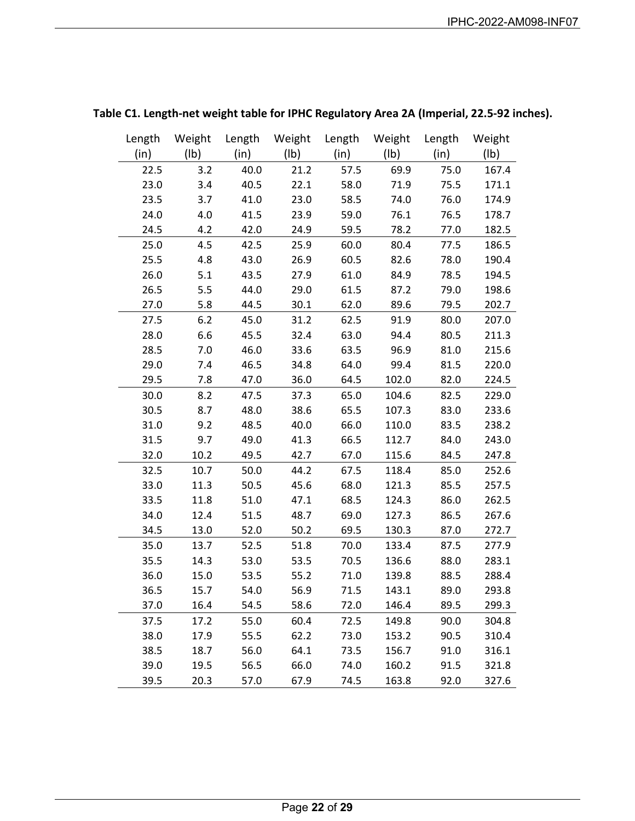| Length | Weight          |      |                 |      | Length Weight Length Weight Length |      | Weight |
|--------|-----------------|------|-----------------|------|------------------------------------|------|--------|
| (in)   | $(\mathsf{lb})$ | (in) | $(\mathsf{lb})$ | (in) | $(\mathsf{lb})$                    | (in) | (1b)   |
| 22.5   | 3.2             | 40.0 | 21.2            | 57.5 | 69.9                               | 75.0 | 167.4  |
| 23.0   | 3.4             | 40.5 | 22.1            | 58.0 | 71.9                               | 75.5 | 171.1  |
| 23.5   | 3.7             | 41.0 | 23.0            | 58.5 | 74.0                               | 76.0 | 174.9  |
| 24.0   | 4.0             | 41.5 | 23.9            | 59.0 | 76.1                               | 76.5 | 178.7  |
| 24.5   | 4.2             | 42.0 | 24.9            | 59.5 | 78.2                               | 77.0 | 182.5  |
| 25.0   | 4.5             | 42.5 | 25.9            | 60.0 | 80.4                               | 77.5 | 186.5  |
| 25.5   | 4.8             | 43.0 | 26.9            | 60.5 | 82.6                               | 78.0 | 190.4  |
| 26.0   | 5.1             | 43.5 | 27.9            | 61.0 | 84.9                               | 78.5 | 194.5  |
| 26.5   | 5.5             | 44.0 | 29.0            | 61.5 | 87.2                               | 79.0 | 198.6  |
| 27.0   | 5.8             | 44.5 | 30.1            | 62.0 | 89.6                               | 79.5 | 202.7  |
| 27.5   | 6.2             | 45.0 | 31.2            | 62.5 | 91.9                               | 80.0 | 207.0  |
| 28.0   | 6.6             | 45.5 | 32.4            | 63.0 | 94.4                               | 80.5 | 211.3  |
| 28.5   | 7.0             | 46.0 | 33.6            | 63.5 | 96.9                               | 81.0 | 215.6  |
| 29.0   | 7.4             | 46.5 | 34.8            | 64.0 | 99.4                               | 81.5 | 220.0  |
| 29.5   | 7.8             | 47.0 | 36.0            | 64.5 | 102.0                              | 82.0 | 224.5  |
| 30.0   | 8.2             | 47.5 | 37.3            | 65.0 | 104.6                              | 82.5 | 229.0  |
| 30.5   | 8.7             | 48.0 | 38.6            | 65.5 | 107.3                              | 83.0 | 233.6  |
| 31.0   | 9.2             | 48.5 | 40.0            | 66.0 | 110.0                              | 83.5 | 238.2  |
| 31.5   | 9.7             | 49.0 | 41.3            | 66.5 | 112.7                              | 84.0 | 243.0  |
| 32.0   | 10.2            | 49.5 | 42.7            | 67.0 | 115.6                              | 84.5 | 247.8  |
| 32.5   | 10.7            | 50.0 | 44.2            | 67.5 | 118.4                              | 85.0 | 252.6  |
| 33.0   | 11.3            | 50.5 | 45.6            | 68.0 | 121.3                              | 85.5 | 257.5  |
| 33.5   | 11.8            | 51.0 | 47.1            | 68.5 | 124.3                              | 86.0 | 262.5  |
| 34.0   | 12.4            | 51.5 | 48.7            | 69.0 | 127.3                              | 86.5 | 267.6  |
| 34.5   | 13.0            | 52.0 | 50.2            | 69.5 | 130.3                              | 87.0 | 272.7  |
| 35.0   | 13.7            | 52.5 | 51.8            | 70.0 | 133.4                              | 87.5 | 277.9  |
| 35.5   | 14.3            | 53.0 | 53.5            | 70.5 | 136.6                              | 88.0 | 283.1  |
| 36.0   | 15.0            | 53.5 | 55.2            | 71.0 | 139.8                              | 88.5 | 288.4  |
| 36.5   | 15.7            | 54.0 | 56.9            | 71.5 | 143.1                              | 89.0 | 293.8  |
| 37.0   | 16.4            | 54.5 | 58.6            | 72.0 | 146.4                              | 89.5 | 299.3  |
| 37.5   | 17.2            | 55.0 | 60.4            | 72.5 | 149.8                              | 90.0 | 304.8  |
| 38.0   | 17.9            | 55.5 | 62.2            | 73.0 | 153.2                              | 90.5 | 310.4  |
| 38.5   | 18.7            | 56.0 | 64.1            | 73.5 | 156.7                              | 91.0 | 316.1  |
| 39.0   | 19.5            | 56.5 | 66.0            | 74.0 | 160.2                              | 91.5 | 321.8  |
| 39.5   | 20.3            | 57.0 | 67.9            | 74.5 | 163.8                              | 92.0 | 327.6  |

## **Table C1. Length-net weight table for IPHC Regulatory Area 2A (Imperial, 22.5-92 inches).**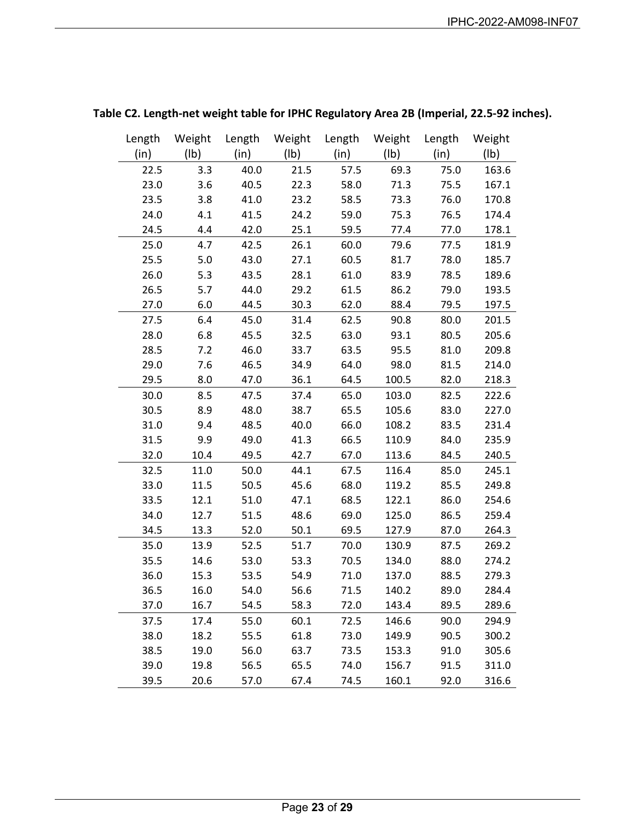| Length | Weight | Length | Weight          |      | Length Weight Length |      | Weight          |
|--------|--------|--------|-----------------|------|----------------------|------|-----------------|
| (in)   | (Ib)   | (in)   | $(\mathsf{lb})$ | (in) | (Ib)                 | (in) | $(\mathsf{lb})$ |
| 22.5   | 3.3    | 40.0   | 21.5            | 57.5 | 69.3                 | 75.0 | 163.6           |
| 23.0   | 3.6    | 40.5   | 22.3            | 58.0 | 71.3                 | 75.5 | 167.1           |
| 23.5   | 3.8    | 41.0   | 23.2            | 58.5 | 73.3                 | 76.0 | 170.8           |
| 24.0   | 4.1    | 41.5   | 24.2            | 59.0 | 75.3                 | 76.5 | 174.4           |
| 24.5   | 4.4    | 42.0   | 25.1            | 59.5 | 77.4                 | 77.0 | 178.1           |
| 25.0   | 4.7    | 42.5   | 26.1            | 60.0 | 79.6                 | 77.5 | 181.9           |
| 25.5   | 5.0    | 43.0   | 27.1            | 60.5 | 81.7                 | 78.0 | 185.7           |
| 26.0   | 5.3    | 43.5   | 28.1            | 61.0 | 83.9                 | 78.5 | 189.6           |
| 26.5   | 5.7    | 44.0   | 29.2            | 61.5 | 86.2                 | 79.0 | 193.5           |
| 27.0   | 6.0    | 44.5   | 30.3            | 62.0 | 88.4                 | 79.5 | 197.5           |
| 27.5   | 6.4    | 45.0   | 31.4            | 62.5 | 90.8                 | 80.0 | 201.5           |
| 28.0   | 6.8    | 45.5   | 32.5            | 63.0 | 93.1                 | 80.5 | 205.6           |
| 28.5   | 7.2    | 46.0   | 33.7            | 63.5 | 95.5                 | 81.0 | 209.8           |
| 29.0   | 7.6    | 46.5   | 34.9            | 64.0 | 98.0                 | 81.5 | 214.0           |
| 29.5   | 8.0    | 47.0   | 36.1            | 64.5 | 100.5                | 82.0 | 218.3           |
| 30.0   | 8.5    | 47.5   | 37.4            | 65.0 | 103.0                | 82.5 | 222.6           |
| 30.5   | 8.9    | 48.0   | 38.7            | 65.5 | 105.6                | 83.0 | 227.0           |
| 31.0   | 9.4    | 48.5   | 40.0            | 66.0 | 108.2                | 83.5 | 231.4           |
| 31.5   | 9.9    | 49.0   | 41.3            | 66.5 | 110.9                | 84.0 | 235.9           |
| 32.0   | 10.4   | 49.5   | 42.7            | 67.0 | 113.6                | 84.5 | 240.5           |
| 32.5   | 11.0   | 50.0   | 44.1            | 67.5 | 116.4                | 85.0 | 245.1           |
| 33.0   | 11.5   | 50.5   | 45.6            | 68.0 | 119.2                | 85.5 | 249.8           |
| 33.5   | 12.1   | 51.0   | 47.1            | 68.5 | 122.1                | 86.0 | 254.6           |
| 34.0   | 12.7   | 51.5   | 48.6            | 69.0 | 125.0                | 86.5 | 259.4           |
| 34.5   | 13.3   | 52.0   | 50.1            | 69.5 | 127.9                | 87.0 | 264.3           |
| 35.0   | 13.9   | 52.5   | 51.7            | 70.0 | 130.9                | 87.5 | 269.2           |
| 35.5   | 14.6   | 53.0   | 53.3            | 70.5 | 134.0                | 88.0 | 274.2           |
| 36.0   | 15.3   | 53.5   | 54.9            | 71.0 | 137.0                | 88.5 | 279.3           |
| 36.5   | 16.0   | 54.0   | 56.6            | 71.5 | 140.2                | 89.0 | 284.4           |
| 37.0   | 16.7   | 54.5   | 58.3            | 72.0 | 143.4                | 89.5 | 289.6           |
| 37.5   | 17.4   | 55.0   | 60.1            | 72.5 | 146.6                | 90.0 | 294.9           |
| 38.0   | 18.2   | 55.5   | 61.8            | 73.0 | 149.9                | 90.5 | 300.2           |
| 38.5   | 19.0   | 56.0   | 63.7            | 73.5 | 153.3                | 91.0 | 305.6           |
| 39.0   | 19.8   | 56.5   | 65.5            | 74.0 | 156.7                | 91.5 | 311.0           |
| 39.5   | 20.6   | 57.0   | 67.4            | 74.5 | 160.1                | 92.0 | 316.6           |

## **Table C2. Length-net weight table for IPHC Regulatory Area 2B (Imperial, 22.5-92 inches).**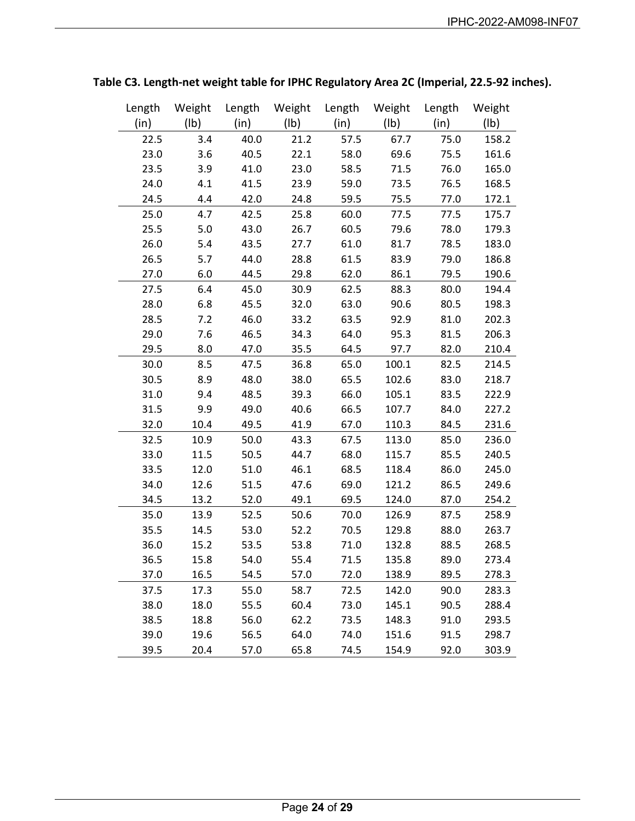| Length | Weight          | Length | Weight          | Length | Weight | Length | Weight |
|--------|-----------------|--------|-----------------|--------|--------|--------|--------|
| (in)   | $(\mathsf{lb})$ | (in)   | $(\mathsf{lb})$ | (in)   | (Ib)   | (in)   | (1b)   |
| 22.5   | 3.4             | 40.0   | 21.2            | 57.5   | 67.7   | 75.0   | 158.2  |
| 23.0   | 3.6             | 40.5   | 22.1            | 58.0   | 69.6   | 75.5   | 161.6  |
| 23.5   | 3.9             | 41.0   | 23.0            | 58.5   | 71.5   | 76.0   | 165.0  |
| 24.0   | 4.1             | 41.5   | 23.9            | 59.0   | 73.5   | 76.5   | 168.5  |
| 24.5   | 4.4             | 42.0   | 24.8            | 59.5   | 75.5   | 77.0   | 172.1  |
| 25.0   | 4.7             | 42.5   | 25.8            | 60.0   | 77.5   | 77.5   | 175.7  |
| 25.5   | 5.0             | 43.0   | 26.7            | 60.5   | 79.6   | 78.0   | 179.3  |
| 26.0   | 5.4             | 43.5   | 27.7            | 61.0   | 81.7   | 78.5   | 183.0  |
| 26.5   | 5.7             | 44.0   | 28.8            | 61.5   | 83.9   | 79.0   | 186.8  |
| 27.0   | 6.0             | 44.5   | 29.8            | 62.0   | 86.1   | 79.5   | 190.6  |
| 27.5   | 6.4             | 45.0   | 30.9            | 62.5   | 88.3   | 80.0   | 194.4  |
| 28.0   | 6.8             | 45.5   | 32.0            | 63.0   | 90.6   | 80.5   | 198.3  |
| 28.5   | 7.2             | 46.0   | 33.2            | 63.5   | 92.9   | 81.0   | 202.3  |
| 29.0   | 7.6             | 46.5   | 34.3            | 64.0   | 95.3   | 81.5   | 206.3  |
| 29.5   | 8.0             | 47.0   | 35.5            | 64.5   | 97.7   | 82.0   | 210.4  |
| 30.0   | 8.5             | 47.5   | 36.8            | 65.0   | 100.1  | 82.5   | 214.5  |
| 30.5   | 8.9             | 48.0   | 38.0            | 65.5   | 102.6  | 83.0   | 218.7  |
| 31.0   | 9.4             | 48.5   | 39.3            | 66.0   | 105.1  | 83.5   | 222.9  |
| 31.5   | 9.9             | 49.0   | 40.6            | 66.5   | 107.7  | 84.0   | 227.2  |
| 32.0   | 10.4            | 49.5   | 41.9            | 67.0   | 110.3  | 84.5   | 231.6  |
| 32.5   | 10.9            | 50.0   | 43.3            | 67.5   | 113.0  | 85.0   | 236.0  |
| 33.0   | 11.5            | 50.5   | 44.7            | 68.0   | 115.7  | 85.5   | 240.5  |
| 33.5   | 12.0            | 51.0   | 46.1            | 68.5   | 118.4  | 86.0   | 245.0  |
| 34.0   | 12.6            | 51.5   | 47.6            | 69.0   | 121.2  | 86.5   | 249.6  |
| 34.5   | 13.2            | 52.0   | 49.1            | 69.5   | 124.0  | 87.0   | 254.2  |
| 35.0   | 13.9            | 52.5   | 50.6            | 70.0   | 126.9  | 87.5   | 258.9  |
| 35.5   | 14.5            | 53.0   | 52.2            | 70.5   | 129.8  | 88.0   | 263.7  |
| 36.0   | 15.2            | 53.5   | 53.8            | 71.0   | 132.8  | 88.5   | 268.5  |
| 36.5   | 15.8            | 54.0   | 55.4            | 71.5   | 135.8  | 89.0   | 273.4  |
| 37.0   | 16.5            | 54.5   | 57.0            | 72.0   | 138.9  | 89.5   | 278.3  |
| 37.5   | 17.3            | 55.0   | 58.7            | 72.5   | 142.0  | 90.0   | 283.3  |
| 38.0   | 18.0            | 55.5   | 60.4            | 73.0   | 145.1  | 90.5   | 288.4  |
| 38.5   | 18.8            | 56.0   | 62.2            | 73.5   | 148.3  | 91.0   | 293.5  |
| 39.0   | 19.6            | 56.5   | 64.0            | 74.0   | 151.6  | 91.5   | 298.7  |
| 39.5   | 20.4            | 57.0   | 65.8            | 74.5   | 154.9  | 92.0   | 303.9  |

**Table C3. Length-net weight table for IPHC Regulatory Area 2C (Imperial, 22.5-92 inches).**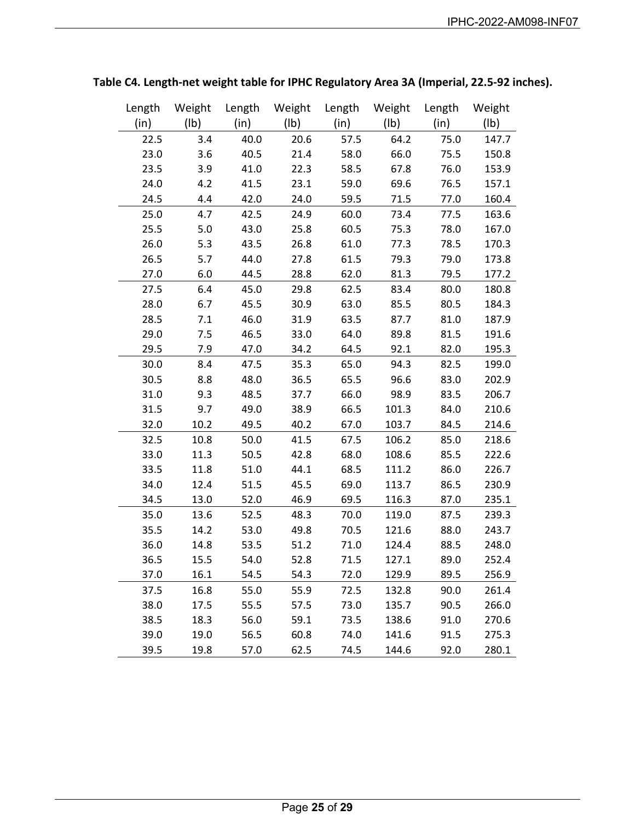| Length | Weight | Length | Weight | Length | Weight          | Length | Weight |
|--------|--------|--------|--------|--------|-----------------|--------|--------|
| (in)   | (Ib)   | (in)   | (Ib)   | (in)   | $(\mathsf{lb})$ | (in)   | (1b)   |
| 22.5   | 3.4    | 40.0   | 20.6   | 57.5   | 64.2            | 75.0   | 147.7  |
| 23.0   | 3.6    | 40.5   | 21.4   | 58.0   | 66.0            | 75.5   | 150.8  |
| 23.5   | 3.9    | 41.0   | 22.3   | 58.5   | 67.8            | 76.0   | 153.9  |
| 24.0   | 4.2    | 41.5   | 23.1   | 59.0   | 69.6            | 76.5   | 157.1  |
| 24.5   | 4.4    | 42.0   | 24.0   | 59.5   | 71.5            | 77.0   | 160.4  |
| 25.0   | 4.7    | 42.5   | 24.9   | 60.0   | 73.4            | 77.5   | 163.6  |
| 25.5   | 5.0    | 43.0   | 25.8   | 60.5   | 75.3            | 78.0   | 167.0  |
| 26.0   | 5.3    | 43.5   | 26.8   | 61.0   | 77.3            | 78.5   | 170.3  |
| 26.5   | 5.7    | 44.0   | 27.8   | 61.5   | 79.3            | 79.0   | 173.8  |
| 27.0   | 6.0    | 44.5   | 28.8   | 62.0   | 81.3            | 79.5   | 177.2  |
| 27.5   | 6.4    | 45.0   | 29.8   | 62.5   | 83.4            | 80.0   | 180.8  |
| 28.0   | 6.7    | 45.5   | 30.9   | 63.0   | 85.5            | 80.5   | 184.3  |
| 28.5   | 7.1    | 46.0   | 31.9   | 63.5   | 87.7            | 81.0   | 187.9  |
| 29.0   | 7.5    | 46.5   | 33.0   | 64.0   | 89.8            | 81.5   | 191.6  |
| 29.5   | 7.9    | 47.0   | 34.2   | 64.5   | 92.1            | 82.0   | 195.3  |
| 30.0   | 8.4    | 47.5   | 35.3   | 65.0   | 94.3            | 82.5   | 199.0  |
| 30.5   | 8.8    | 48.0   | 36.5   | 65.5   | 96.6            | 83.0   | 202.9  |
| 31.0   | 9.3    | 48.5   | 37.7   | 66.0   | 98.9            | 83.5   | 206.7  |
| 31.5   | 9.7    | 49.0   | 38.9   | 66.5   | 101.3           | 84.0   | 210.6  |
| 32.0   | 10.2   | 49.5   | 40.2   | 67.0   | 103.7           | 84.5   | 214.6  |
| 32.5   | 10.8   | 50.0   | 41.5   | 67.5   | 106.2           | 85.0   | 218.6  |
| 33.0   | 11.3   | 50.5   | 42.8   | 68.0   | 108.6           | 85.5   | 222.6  |
| 33.5   | 11.8   | 51.0   | 44.1   | 68.5   | 111.2           | 86.0   | 226.7  |
| 34.0   | 12.4   | 51.5   | 45.5   | 69.0   | 113.7           | 86.5   | 230.9  |
| 34.5   | 13.0   | 52.0   | 46.9   | 69.5   | 116.3           | 87.0   | 235.1  |
| 35.0   | 13.6   | 52.5   | 48.3   | 70.0   | 119.0           | 87.5   | 239.3  |
| 35.5   | 14.2   | 53.0   | 49.8   | 70.5   | 121.6           | 88.0   | 243.7  |
| 36.0   | 14.8   | 53.5   | 51.2   | 71.0   | 124.4           | 88.5   | 248.0  |
| 36.5   | 15.5   | 54.0   | 52.8   | 71.5   | 127.1           | 89.0   | 252.4  |
| 37.0   | 16.1   | 54.5   | 54.3   | 72.0   | 129.9           | 89.5   | 256.9  |
| 37.5   | 16.8   | 55.0   | 55.9   | 72.5   | 132.8           | 90.0   | 261.4  |
| 38.0   | 17.5   | 55.5   | 57.5   | 73.0   | 135.7           | 90.5   | 266.0  |
| 38.5   | 18.3   | 56.0   | 59.1   | 73.5   | 138.6           | 91.0   | 270.6  |
| 39.0   | 19.0   | 56.5   | 60.8   | 74.0   | 141.6           | 91.5   | 275.3  |
| 39.5   | 19.8   | 57.0   | 62.5   | 74.5   | 144.6           | 92.0   | 280.1  |

**Table C4. Length-net weight table for IPHC Regulatory Area 3A (Imperial, 22.5-92 inches).**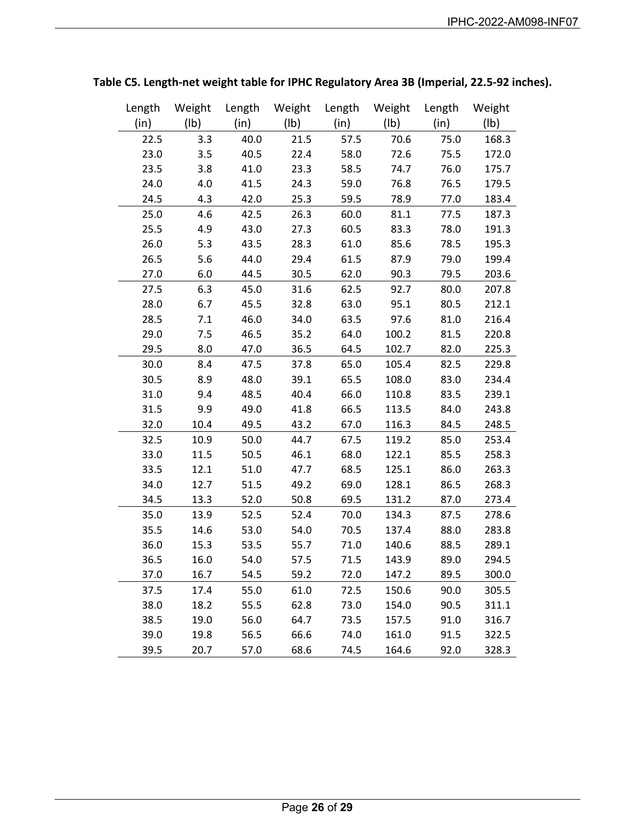| Length | Weight          | Length | Weight | Length | Weight          | Length | Weight |
|--------|-----------------|--------|--------|--------|-----------------|--------|--------|
| (in)   | $(\mathsf{lb})$ | (in)   | (Ib)   | (in)   | $(\mathsf{lb})$ | (in)   | (Ib)   |
| 22.5   | 3.3             | 40.0   | 21.5   | 57.5   | 70.6            | 75.0   | 168.3  |
| 23.0   | 3.5             | 40.5   | 22.4   | 58.0   | 72.6            | 75.5   | 172.0  |
| 23.5   | 3.8             | 41.0   | 23.3   | 58.5   | 74.7            | 76.0   | 175.7  |
| 24.0   | 4.0             | 41.5   | 24.3   | 59.0   | 76.8            | 76.5   | 179.5  |
| 24.5   | 4.3             | 42.0   | 25.3   | 59.5   | 78.9            | 77.0   | 183.4  |
| 25.0   | 4.6             | 42.5   | 26.3   | 60.0   | 81.1            | 77.5   | 187.3  |
| 25.5   | 4.9             | 43.0   | 27.3   | 60.5   | 83.3            | 78.0   | 191.3  |
| 26.0   | 5.3             | 43.5   | 28.3   | 61.0   | 85.6            | 78.5   | 195.3  |
| 26.5   | 5.6             | 44.0   | 29.4   | 61.5   | 87.9            | 79.0   | 199.4  |
| 27.0   | 6.0             | 44.5   | 30.5   | 62.0   | 90.3            | 79.5   | 203.6  |
| 27.5   | 6.3             | 45.0   | 31.6   | 62.5   | 92.7            | 80.0   | 207.8  |
| 28.0   | 6.7             | 45.5   | 32.8   | 63.0   | 95.1            | 80.5   | 212.1  |
| 28.5   | 7.1             | 46.0   | 34.0   | 63.5   | 97.6            | 81.0   | 216.4  |
| 29.0   | 7.5             | 46.5   | 35.2   | 64.0   | 100.2           | 81.5   | 220.8  |
| 29.5   | 8.0             | 47.0   | 36.5   | 64.5   | 102.7           | 82.0   | 225.3  |
| 30.0   | 8.4             | 47.5   | 37.8   | 65.0   | 105.4           | 82.5   | 229.8  |
| 30.5   | 8.9             | 48.0   | 39.1   | 65.5   | 108.0           | 83.0   | 234.4  |
| 31.0   | 9.4             | 48.5   | 40.4   | 66.0   | 110.8           | 83.5   | 239.1  |
| 31.5   | 9.9             | 49.0   | 41.8   | 66.5   | 113.5           | 84.0   | 243.8  |
| 32.0   | 10.4            | 49.5   | 43.2   | 67.0   | 116.3           | 84.5   | 248.5  |
| 32.5   | 10.9            | 50.0   | 44.7   | 67.5   | 119.2           | 85.0   | 253.4  |
| 33.0   | 11.5            | 50.5   | 46.1   | 68.0   | 122.1           | 85.5   | 258.3  |
| 33.5   | 12.1            | 51.0   | 47.7   | 68.5   | 125.1           | 86.0   | 263.3  |
| 34.0   | 12.7            | 51.5   | 49.2   | 69.0   | 128.1           | 86.5   | 268.3  |
| 34.5   | 13.3            | 52.0   | 50.8   | 69.5   | 131.2           | 87.0   | 273.4  |
| 35.0   | 13.9            | 52.5   | 52.4   | 70.0   | 134.3           | 87.5   | 278.6  |
| 35.5   | 14.6            | 53.0   | 54.0   | 70.5   | 137.4           | 88.0   | 283.8  |
| 36.0   | 15.3            | 53.5   | 55.7   | 71.0   | 140.6           | 88.5   | 289.1  |
| 36.5   | 16.0            | 54.0   | 57.5   | 71.5   | 143.9           | 89.0   | 294.5  |
| 37.0   | 16.7            | 54.5   | 59.2   | 72.0   | 147.2           | 89.5   | 300.0  |
| 37.5   | 17.4            | 55.0   | 61.0   | 72.5   | 150.6           | 90.0   | 305.5  |
| 38.0   | 18.2            | 55.5   | 62.8   | 73.0   | 154.0           | 90.5   | 311.1  |
| 38.5   | 19.0            | 56.0   | 64.7   | 73.5   | 157.5           | 91.0   | 316.7  |
| 39.0   | 19.8            | 56.5   | 66.6   | 74.0   | 161.0           | 91.5   | 322.5  |
| 39.5   | 20.7            | 57.0   | 68.6   | 74.5   | 164.6           | 92.0   | 328.3  |

**Table C5. Length-net weight table for IPHC Regulatory Area 3B (Imperial, 22.5-92 inches).**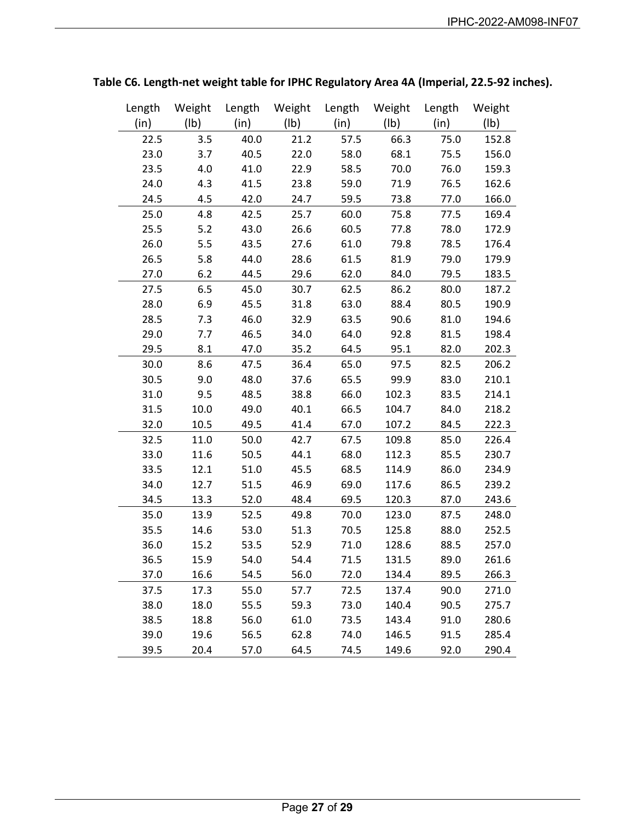| Length | Weight          | Length | Weight          | Length | Weight          | Length | Weight |
|--------|-----------------|--------|-----------------|--------|-----------------|--------|--------|
| (in)   | $(\mathsf{lb})$ | (in)   | $(\mathsf{lb})$ | (in)   | $(\mathsf{lb})$ | (in)   | (1b)   |
| 22.5   | 3.5             | 40.0   | 21.2            | 57.5   | 66.3            | 75.0   | 152.8  |
| 23.0   | 3.7             | 40.5   | 22.0            | 58.0   | 68.1            | 75.5   | 156.0  |
| 23.5   | 4.0             | 41.0   | 22.9            | 58.5   | 70.0            | 76.0   | 159.3  |
| 24.0   | 4.3             | 41.5   | 23.8            | 59.0   | 71.9            | 76.5   | 162.6  |
| 24.5   | 4.5             | 42.0   | 24.7            | 59.5   | 73.8            | 77.0   | 166.0  |
| 25.0   | 4.8             | 42.5   | 25.7            | 60.0   | 75.8            | 77.5   | 169.4  |
| 25.5   | 5.2             | 43.0   | 26.6            | 60.5   | 77.8            | 78.0   | 172.9  |
| 26.0   | 5.5             | 43.5   | 27.6            | 61.0   | 79.8            | 78.5   | 176.4  |
| 26.5   | 5.8             | 44.0   | 28.6            | 61.5   | 81.9            | 79.0   | 179.9  |
| 27.0   | 6.2             | 44.5   | 29.6            | 62.0   | 84.0            | 79.5   | 183.5  |
| 27.5   | 6.5             | 45.0   | 30.7            | 62.5   | 86.2            | 80.0   | 187.2  |
| 28.0   | 6.9             | 45.5   | 31.8            | 63.0   | 88.4            | 80.5   | 190.9  |
| 28.5   | 7.3             | 46.0   | 32.9            | 63.5   | 90.6            | 81.0   | 194.6  |
| 29.0   | 7.7             | 46.5   | 34.0            | 64.0   | 92.8            | 81.5   | 198.4  |
| 29.5   | 8.1             | 47.0   | 35.2            | 64.5   | 95.1            | 82.0   | 202.3  |
| 30.0   | 8.6             | 47.5   | 36.4            | 65.0   | 97.5            | 82.5   | 206.2  |
| 30.5   | 9.0             | 48.0   | 37.6            | 65.5   | 99.9            | 83.0   | 210.1  |
| 31.0   | 9.5             | 48.5   | 38.8            | 66.0   | 102.3           | 83.5   | 214.1  |
| 31.5   | 10.0            | 49.0   | 40.1            | 66.5   | 104.7           | 84.0   | 218.2  |
| 32.0   | 10.5            | 49.5   | 41.4            | 67.0   | 107.2           | 84.5   | 222.3  |
| 32.5   | 11.0            | 50.0   | 42.7            | 67.5   | 109.8           | 85.0   | 226.4  |
| 33.0   | 11.6            | 50.5   | 44.1            | 68.0   | 112.3           | 85.5   | 230.7  |
| 33.5   | 12.1            | 51.0   | 45.5            | 68.5   | 114.9           | 86.0   | 234.9  |
| 34.0   | 12.7            | 51.5   | 46.9            | 69.0   | 117.6           | 86.5   | 239.2  |
| 34.5   | 13.3            | 52.0   | 48.4            | 69.5   | 120.3           | 87.0   | 243.6  |
| 35.0   | 13.9            | 52.5   | 49.8            | 70.0   | 123.0           | 87.5   | 248.0  |
| 35.5   | 14.6            | 53.0   | 51.3            | 70.5   | 125.8           | 88.0   | 252.5  |
| 36.0   | 15.2            | 53.5   | 52.9            | 71.0   | 128.6           | 88.5   | 257.0  |
| 36.5   | 15.9            | 54.0   | 54.4            | 71.5   | 131.5           | 89.0   | 261.6  |
| 37.0   | 16.6            | 54.5   | 56.0            | 72.0   | 134.4           | 89.5   | 266.3  |
| 37.5   | 17.3            | 55.0   | 57.7            | 72.5   | 137.4           | 90.0   | 271.0  |
| 38.0   | 18.0            | 55.5   | 59.3            | 73.0   | 140.4           | 90.5   | 275.7  |
| 38.5   | 18.8            | 56.0   | 61.0            | 73.5   | 143.4           | 91.0   | 280.6  |
| 39.0   | 19.6            | 56.5   | 62.8            | 74.0   | 146.5           | 91.5   | 285.4  |
| 39.5   | 20.4            | 57.0   | 64.5            | 74.5   | 149.6           | 92.0   | 290.4  |

**Table C6. Length-net weight table for IPHC Regulatory Area 4A (Imperial, 22.5-92 inches).**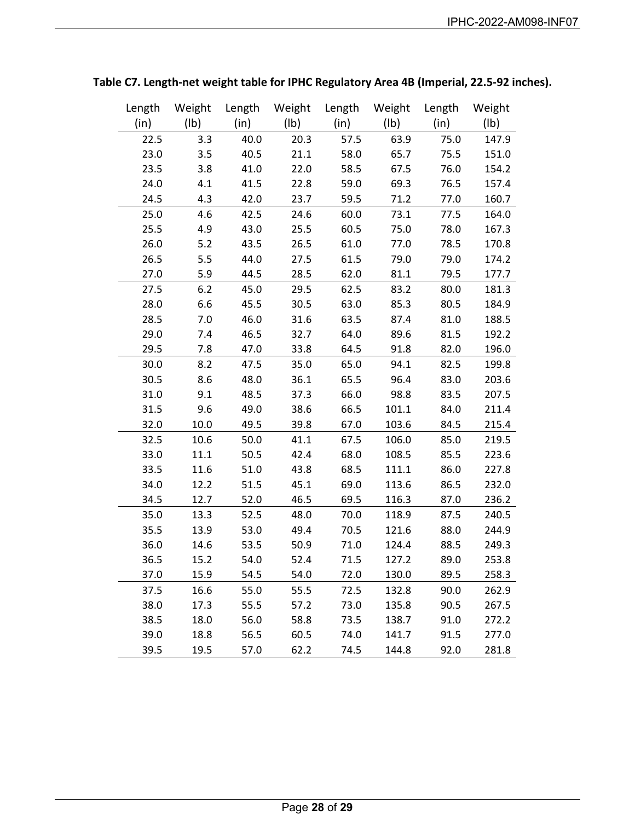| Length | Weight          | Length | Weight          | Length | Weight          | Length | Weight |
|--------|-----------------|--------|-----------------|--------|-----------------|--------|--------|
| (in)   | $(\mathsf{lb})$ | (in)   | $(\mathsf{lb})$ | (in)   | $(\mathsf{lb})$ | (in)   | (1b)   |
| 22.5   | 3.3             | 40.0   | 20.3            | 57.5   | 63.9            | 75.0   | 147.9  |
| 23.0   | 3.5             | 40.5   | 21.1            | 58.0   | 65.7            | 75.5   | 151.0  |
| 23.5   | 3.8             | 41.0   | 22.0            | 58.5   | 67.5            | 76.0   | 154.2  |
| 24.0   | 4.1             | 41.5   | 22.8            | 59.0   | 69.3            | 76.5   | 157.4  |
| 24.5   | 4.3             | 42.0   | 23.7            | 59.5   | 71.2            | 77.0   | 160.7  |
| 25.0   | 4.6             | 42.5   | 24.6            | 60.0   | 73.1            | 77.5   | 164.0  |
| 25.5   | 4.9             | 43.0   | 25.5            | 60.5   | 75.0            | 78.0   | 167.3  |
| 26.0   | 5.2             | 43.5   | 26.5            | 61.0   | 77.0            | 78.5   | 170.8  |
| 26.5   | 5.5             | 44.0   | 27.5            | 61.5   | 79.0            | 79.0   | 174.2  |
| 27.0   | 5.9             | 44.5   | 28.5            | 62.0   | 81.1            | 79.5   | 177.7  |
| 27.5   | 6.2             | 45.0   | 29.5            | 62.5   | 83.2            | 80.0   | 181.3  |
| 28.0   | 6.6             | 45.5   | 30.5            | 63.0   | 85.3            | 80.5   | 184.9  |
| 28.5   | 7.0             | 46.0   | 31.6            | 63.5   | 87.4            | 81.0   | 188.5  |
| 29.0   | 7.4             | 46.5   | 32.7            | 64.0   | 89.6            | 81.5   | 192.2  |
| 29.5   | 7.8             | 47.0   | 33.8            | 64.5   | 91.8            | 82.0   | 196.0  |
| 30.0   | 8.2             | 47.5   | 35.0            | 65.0   | 94.1            | 82.5   | 199.8  |
| 30.5   | 8.6             | 48.0   | 36.1            | 65.5   | 96.4            | 83.0   | 203.6  |
| 31.0   | 9.1             | 48.5   | 37.3            | 66.0   | 98.8            | 83.5   | 207.5  |
| 31.5   | 9.6             | 49.0   | 38.6            | 66.5   | 101.1           | 84.0   | 211.4  |
| 32.0   | 10.0            | 49.5   | 39.8            | 67.0   | 103.6           | 84.5   | 215.4  |
| 32.5   | 10.6            | 50.0   | 41.1            | 67.5   | 106.0           | 85.0   | 219.5  |
| 33.0   | 11.1            | 50.5   | 42.4            | 68.0   | 108.5           | 85.5   | 223.6  |
| 33.5   | 11.6            | 51.0   | 43.8            | 68.5   | 111.1           | 86.0   | 227.8  |
| 34.0   | 12.2            | 51.5   | 45.1            | 69.0   | 113.6           | 86.5   | 232.0  |
| 34.5   | 12.7            | 52.0   | 46.5            | 69.5   | 116.3           | 87.0   | 236.2  |
| 35.0   | 13.3            | 52.5   | 48.0            | 70.0   | 118.9           | 87.5   | 240.5  |
| 35.5   | 13.9            | 53.0   | 49.4            | 70.5   | 121.6           | 88.0   | 244.9  |
| 36.0   | 14.6            | 53.5   | 50.9            | 71.0   | 124.4           | 88.5   | 249.3  |
| 36.5   | 15.2            | 54.0   | 52.4            | 71.5   | 127.2           | 89.0   | 253.8  |
| 37.0   | 15.9            | 54.5   | 54.0            | 72.0   | 130.0           | 89.5   | 258.3  |
| 37.5   | 16.6            | 55.0   | 55.5            | 72.5   | 132.8           | 90.0   | 262.9  |
| 38.0   | 17.3            | 55.5   | 57.2            | 73.0   | 135.8           | 90.5   | 267.5  |
| 38.5   | 18.0            | 56.0   | 58.8            | 73.5   | 138.7           | 91.0   | 272.2  |
| 39.0   | 18.8            | 56.5   | 60.5            | 74.0   | 141.7           | 91.5   | 277.0  |
| 39.5   | 19.5            | 57.0   | 62.2            | 74.5   | 144.8           | 92.0   | 281.8  |

**Table C7. Length-net weight table for IPHC Regulatory Area 4B (Imperial, 22.5-92 inches).**